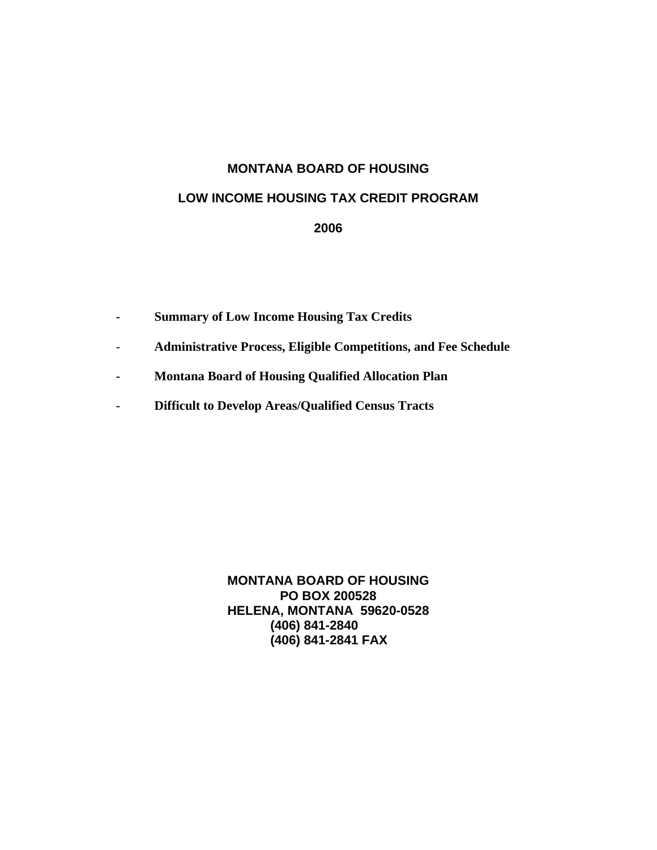# **MONTANA BOARD OF HOUSING**

## **LOW INCOME HOUSING TAX CREDIT PROGRAM**

**2006** 

- **Summary of Low Income Housing Tax Credits**
- **Administrative Process, Eligible Competitions, and Fee Schedule**
- **Montana Board of Housing Qualified Allocation Plan**
- **Difficult to Develop Areas/Qualified Census Tracts**

**MONTANA BOARD OF HOUSING PO BOX 200528 HELENA, MONTANA 59620-0528 (406) 841-2840 (406) 841-2841 FAX**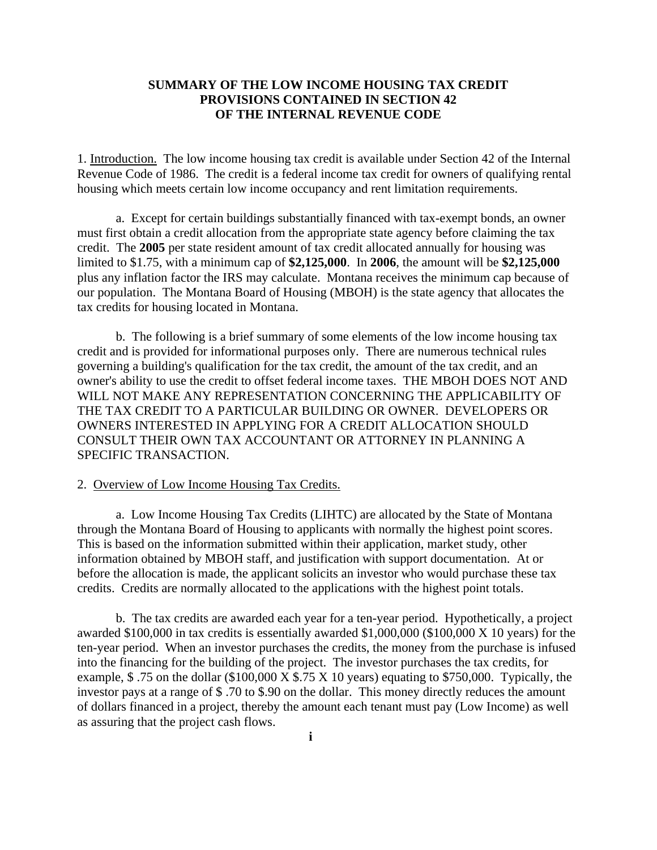### **SUMMARY OF THE LOW INCOME HOUSING TAX CREDIT PROVISIONS CONTAINED IN SECTION 42 OF THE INTERNAL REVENUE CODE**

1. Introduction. The low income housing tax credit is available under Section 42 of the Internal Revenue Code of 1986. The credit is a federal income tax credit for owners of qualifying rental housing which meets certain low income occupancy and rent limitation requirements.

a. Except for certain buildings substantially financed with tax-exempt bonds, an owner must first obtain a credit allocation from the appropriate state agency before claiming the tax credit. The **2005** per state resident amount of tax credit allocated annually for housing was limited to \$1.75, with a minimum cap of **\$2,125,000**. In **2006**, the amount will be **\$2,125,000** plus any inflation factor the IRS may calculate. Montana receives the minimum cap because of our population. The Montana Board of Housing (MBOH) is the state agency that allocates the tax credits for housing located in Montana.

b. The following is a brief summary of some elements of the low income housing tax credit and is provided for informational purposes only. There are numerous technical rules governing a building's qualification for the tax credit, the amount of the tax credit, and an owner's ability to use the credit to offset federal income taxes. THE MBOH DOES NOT AND WILL NOT MAKE ANY REPRESENTATION CONCERNING THE APPLICABILITY OF THE TAX CREDIT TO A PARTICULAR BUILDING OR OWNER. DEVELOPERS OR OWNERS INTERESTED IN APPLYING FOR A CREDIT ALLOCATION SHOULD CONSULT THEIR OWN TAX ACCOUNTANT OR ATTORNEY IN PLANNING A SPECIFIC TRANSACTION.

#### 2. Overview of Low Income Housing Tax Credits.

a. Low Income Housing Tax Credits (LIHTC) are allocated by the State of Montana through the Montana Board of Housing to applicants with normally the highest point scores. This is based on the information submitted within their application, market study, other information obtained by MBOH staff, and justification with support documentation. At or before the allocation is made, the applicant solicits an investor who would purchase these tax credits. Credits are normally allocated to the applications with the highest point totals.

b. The tax credits are awarded each year for a ten-year period. Hypothetically, a project awarded \$100,000 in tax credits is essentially awarded \$1,000,000 (\$100,000 X 10 years) for the ten-year period. When an investor purchases the credits, the money from the purchase is infused into the financing for the building of the project. The investor purchases the tax credits, for example,  $$.75$  on the dollar (\$100,000 X  $$.75$  X 10 years) equating to \$750,000. Typically, the investor pays at a range of \$ .70 to \$.90 on the dollar. This money directly reduces the amount of dollars financed in a project, thereby the amount each tenant must pay (Low Income) as well as assuring that the project cash flows.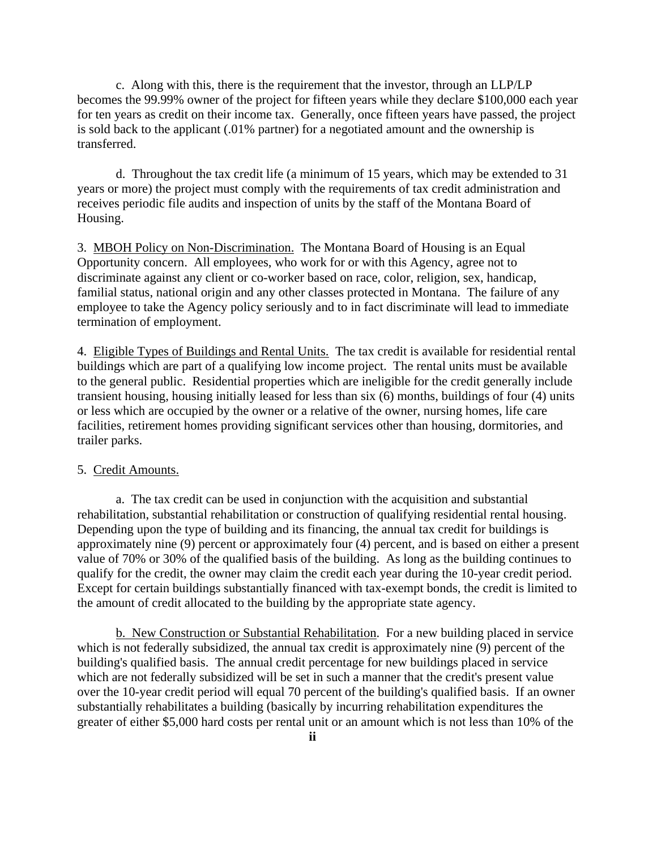c. Along with this, there is the requirement that the investor, through an LLP/LP becomes the 99.99% owner of the project for fifteen years while they declare \$100,000 each year for ten years as credit on their income tax. Generally, once fifteen years have passed, the project is sold back to the applicant (.01% partner) for a negotiated amount and the ownership is transferred.

 d. Throughout the tax credit life (a minimum of 15 years, which may be extended to 31 years or more) the project must comply with the requirements of tax credit administration and receives periodic file audits and inspection of units by the staff of the Montana Board of Housing.

3. MBOH Policy on Non-Discrimination. The Montana Board of Housing is an Equal Opportunity concern. All employees, who work for or with this Agency, agree not to discriminate against any client or co-worker based on race, color, religion, sex, handicap, familial status, national origin and any other classes protected in Montana. The failure of any employee to take the Agency policy seriously and to in fact discriminate will lead to immediate termination of employment.

4. Eligible Types of Buildings and Rental Units.The tax credit is available for residential rental buildings which are part of a qualifying low income project. The rental units must be available to the general public. Residential properties which are ineligible for the credit generally include transient housing, housing initially leased for less than six (6) months, buildings of four (4) units or less which are occupied by the owner or a relative of the owner, nursing homes, life care facilities, retirement homes providing significant services other than housing, dormitories, and trailer parks.

#### 5. Credit Amounts.

a. The tax credit can be used in conjunction with the acquisition and substantial rehabilitation, substantial rehabilitation or construction of qualifying residential rental housing. Depending upon the type of building and its financing, the annual tax credit for buildings is approximately nine (9) percent or approximately four (4) percent, and is based on either a present value of 70% or 30% of the qualified basis of the building. As long as the building continues to qualify for the credit, the owner may claim the credit each year during the 10-year credit period. Except for certain buildings substantially financed with tax-exempt bonds, the credit is limited to the amount of credit allocated to the building by the appropriate state agency.

b. New Construction or Substantial Rehabilitation. For a new building placed in service which is not federally subsidized, the annual tax credit is approximately nine (9) percent of the building's qualified basis. The annual credit percentage for new buildings placed in service which are not federally subsidized will be set in such a manner that the credit's present value over the 10-year credit period will equal 70 percent of the building's qualified basis. If an owner substantially rehabilitates a building (basically by incurring rehabilitation expenditures the greater of either \$5,000 hard costs per rental unit or an amount which is not less than 10% of the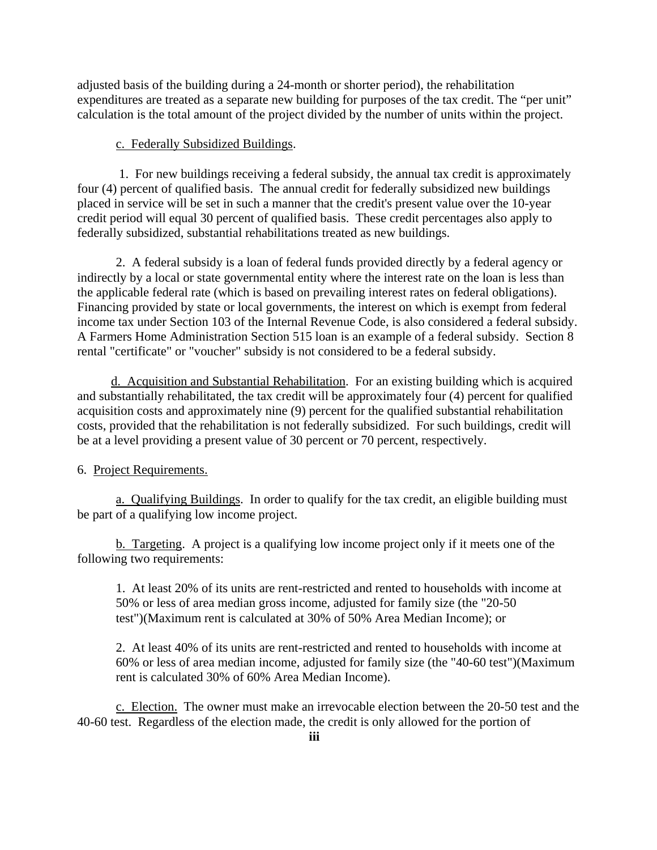adjusted basis of the building during a 24-month or shorter period), the rehabilitation expenditures are treated as a separate new building for purposes of the tax credit. The "per unit" calculation is the total amount of the project divided by the number of units within the project.

## c. Federally Subsidized Buildings.

 1. For new buildings receiving a federal subsidy, the annual tax credit is approximately four (4) percent of qualified basis. The annual credit for federally subsidized new buildings placed in service will be set in such a manner that the credit's present value over the 10-year credit period will equal 30 percent of qualified basis. These credit percentages also apply to federally subsidized, substantial rehabilitations treated as new buildings.

2. A federal subsidy is a loan of federal funds provided directly by a federal agency or indirectly by a local or state governmental entity where the interest rate on the loan is less than the applicable federal rate (which is based on prevailing interest rates on federal obligations). Financing provided by state or local governments, the interest on which is exempt from federal income tax under Section 103 of the Internal Revenue Code, is also considered a federal subsidy. A Farmers Home Administration Section 515 loan is an example of a federal subsidy. Section 8 rental "certificate" or "voucher" subsidy is not considered to be a federal subsidy.

d. Acquisition and Substantial Rehabilitation. For an existing building which is acquired and substantially rehabilitated, the tax credit will be approximately four (4) percent for qualified acquisition costs and approximately nine (9) percent for the qualified substantial rehabilitation costs, provided that the rehabilitation is not federally subsidized. For such buildings, credit will be at a level providing a present value of 30 percent or 70 percent, respectively.

# 6. Project Requirements.

a. Qualifying Buildings. In order to qualify for the tax credit, an eligible building must be part of a qualifying low income project.

b. Targeting. A project is a qualifying low income project only if it meets one of the following two requirements:

1. At least 20% of its units are rent-restricted and rented to households with income at 50% or less of area median gross income, adjusted for family size (the "20-50 test")(Maximum rent is calculated at 30% of 50% Area Median Income); or

2. At least 40% of its units are rent-restricted and rented to households with income at 60% or less of area median income, adjusted for family size (the "40-60 test")(Maximum rent is calculated 30% of 60% Area Median Income).

c. Election. The owner must make an irrevocable election between the 20-50 test and the 40-60 test. Regardless of the election made, the credit is only allowed for the portion of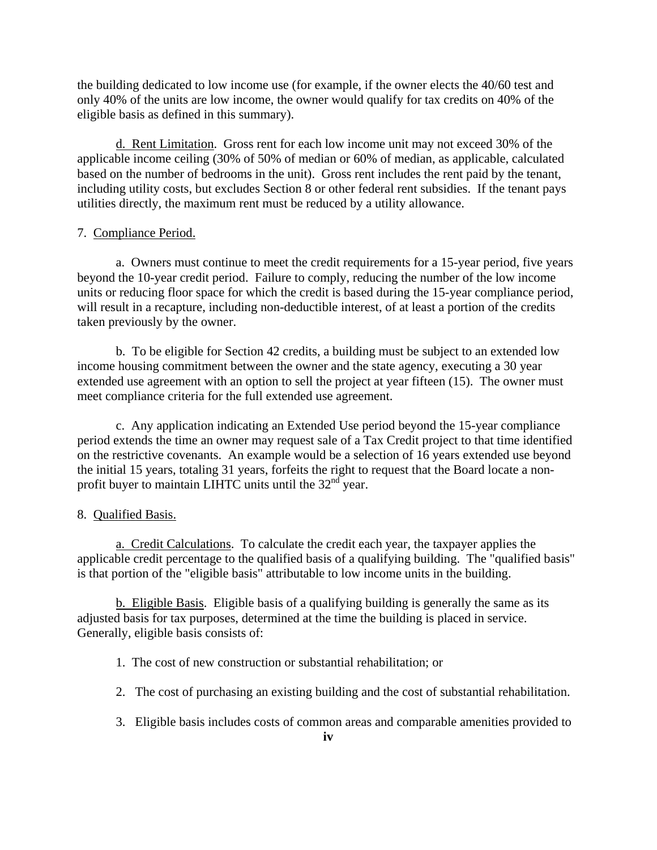the building dedicated to low income use (for example, if the owner elects the 40/60 test and only 40% of the units are low income, the owner would qualify for tax credits on 40% of the eligible basis as defined in this summary).

d. Rent Limitation. Gross rent for each low income unit may not exceed 30% of the applicable income ceiling (30% of 50% of median or 60% of median, as applicable, calculated based on the number of bedrooms in the unit). Gross rent includes the rent paid by the tenant, including utility costs, but excludes Section 8 or other federal rent subsidies. If the tenant pays utilities directly, the maximum rent must be reduced by a utility allowance.

#### 7. Compliance Period.

a. Owners must continue to meet the credit requirements for a 15-year period, five years beyond the 10-year credit period. Failure to comply, reducing the number of the low income units or reducing floor space for which the credit is based during the 15-year compliance period, will result in a recapture, including non-deductible interest, of at least a portion of the credits taken previously by the owner.

b. To be eligible for Section 42 credits, a building must be subject to an extended low income housing commitment between the owner and the state agency, executing a 30 year extended use agreement with an option to sell the project at year fifteen (15). The owner must meet compliance criteria for the full extended use agreement.

c. Any application indicating an Extended Use period beyond the 15-year compliance period extends the time an owner may request sale of a Tax Credit project to that time identified on the restrictive covenants. An example would be a selection of 16 years extended use beyond the initial 15 years, totaling 31 years, forfeits the right to request that the Board locate a nonprofit buyer to maintain LIHTC units until the 32<sup>nd</sup> year.

#### 8. Qualified Basis.

a. Credit Calculations. To calculate the credit each year, the taxpayer applies the applicable credit percentage to the qualified basis of a qualifying building. The "qualified basis" is that portion of the "eligible basis" attributable to low income units in the building.

b. Eligible Basis. Eligible basis of a qualifying building is generally the same as its adjusted basis for tax purposes, determined at the time the building is placed in service. Generally, eligible basis consists of:

- 1. The cost of new construction or substantial rehabilitation; or
- 2. The cost of purchasing an existing building and the cost of substantial rehabilitation.
- 3. Eligible basis includes costs of common areas and comparable amenities provided to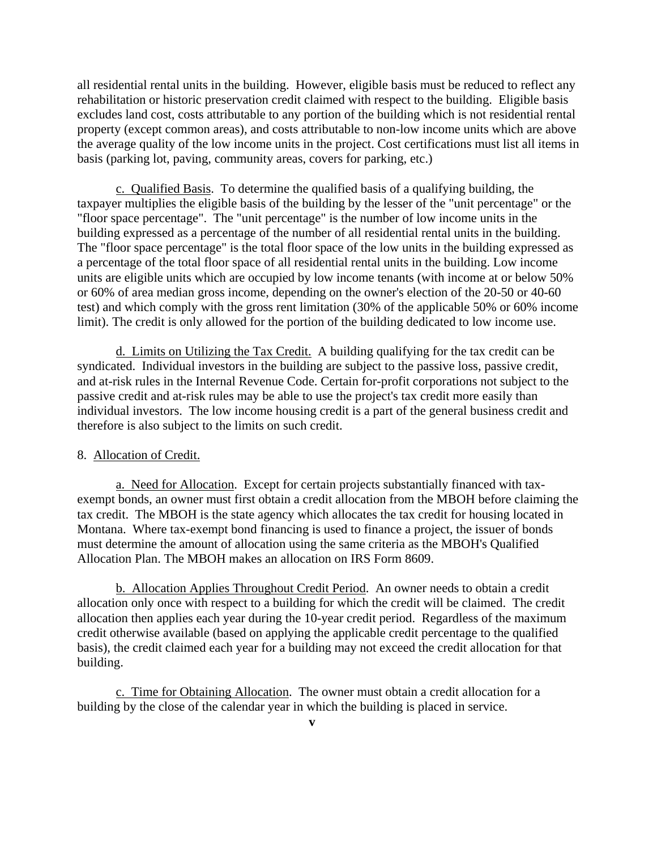all residential rental units in the building. However, eligible basis must be reduced to reflect any rehabilitation or historic preservation credit claimed with respect to the building. Eligible basis excludes land cost, costs attributable to any portion of the building which is not residential rental property (except common areas), and costs attributable to non-low income units which are above the average quality of the low income units in the project. Cost certifications must list all items in basis (parking lot, paving, community areas, covers for parking, etc.)

c. Qualified Basis. To determine the qualified basis of a qualifying building, the taxpayer multiplies the eligible basis of the building by the lesser of the "unit percentage" or the "floor space percentage". The "unit percentage" is the number of low income units in the building expressed as a percentage of the number of all residential rental units in the building. The "floor space percentage" is the total floor space of the low units in the building expressed as a percentage of the total floor space of all residential rental units in the building. Low income units are eligible units which are occupied by low income tenants (with income at or below 50% or 60% of area median gross income, depending on the owner's election of the 20-50 or 40-60 test) and which comply with the gross rent limitation (30% of the applicable 50% or 60% income limit). The credit is only allowed for the portion of the building dedicated to low income use.

d. Limits on Utilizing the Tax Credit. A building qualifying for the tax credit can be syndicated. Individual investors in the building are subject to the passive loss, passive credit, and at-risk rules in the Internal Revenue Code. Certain for-profit corporations not subject to the passive credit and at-risk rules may be able to use the project's tax credit more easily than individual investors. The low income housing credit is a part of the general business credit and therefore is also subject to the limits on such credit.

#### 8. Allocation of Credit.

a. Need for Allocation. Except for certain projects substantially financed with taxexempt bonds, an owner must first obtain a credit allocation from the MBOH before claiming the tax credit. The MBOH is the state agency which allocates the tax credit for housing located in Montana. Where tax-exempt bond financing is used to finance a project, the issuer of bonds must determine the amount of allocation using the same criteria as the MBOH's Qualified Allocation Plan. The MBOH makes an allocation on IRS Form 8609.

b. Allocation Applies Throughout Credit Period. An owner needs to obtain a credit allocation only once with respect to a building for which the credit will be claimed. The credit allocation then applies each year during the 10-year credit period. Regardless of the maximum credit otherwise available (based on applying the applicable credit percentage to the qualified basis), the credit claimed each year for a building may not exceed the credit allocation for that building.

c. Time for Obtaining Allocation. The owner must obtain a credit allocation for a building by the close of the calendar year in which the building is placed in service.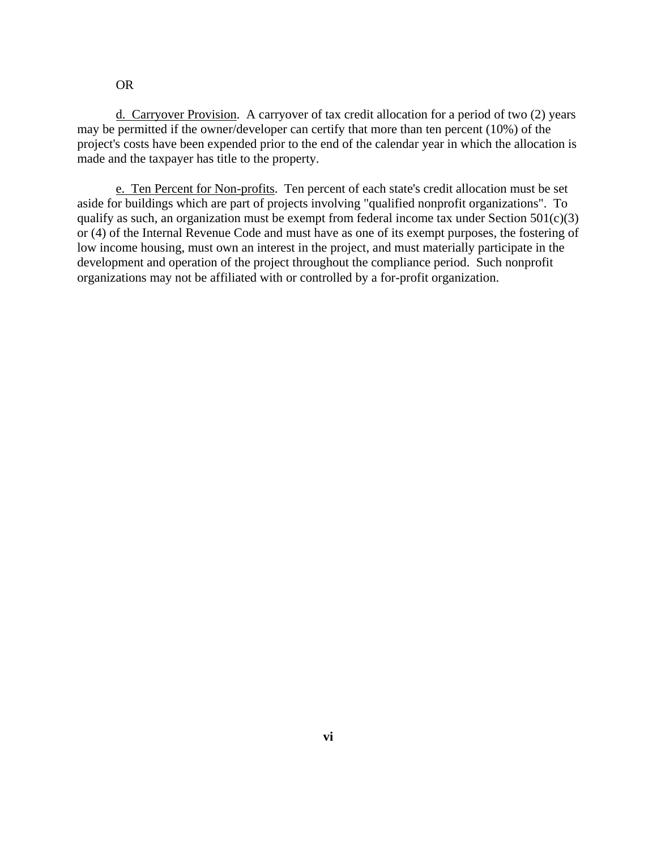### OR

d. Carryover Provision. A carryover of tax credit allocation for a period of two (2) years may be permitted if the owner/developer can certify that more than ten percent (10%) of the project's costs have been expended prior to the end of the calendar year in which the allocation is made and the taxpayer has title to the property.

e. Ten Percent for Non-profits. Ten percent of each state's credit allocation must be set aside for buildings which are part of projects involving "qualified nonprofit organizations". To qualify as such, an organization must be exempt from federal income tax under Section  $501(c)(3)$ or (4) of the Internal Revenue Code and must have as one of its exempt purposes, the fostering of low income housing, must own an interest in the project, and must materially participate in the development and operation of the project throughout the compliance period. Such nonprofit organizations may not be affiliated with or controlled by a for-profit organization.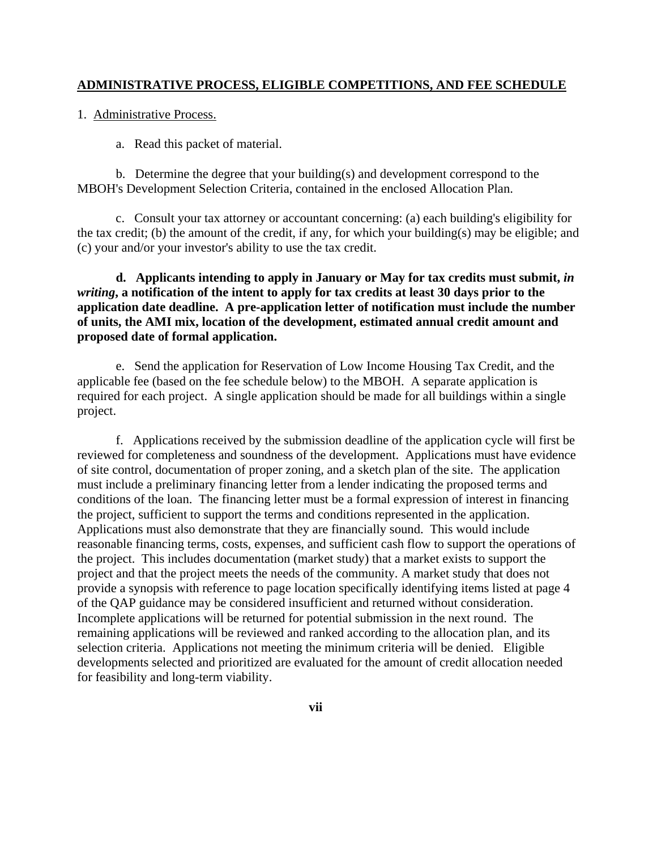### **ADMINISTRATIVE PROCESS, ELIGIBLE COMPETITIONS, AND FEE SCHEDULE**

1. Administrative Process.

a. Read this packet of material.

 b. Determine the degree that your building(s) and development correspond to the MBOH's Development Selection Criteria, contained in the enclosed Allocation Plan.

 c. Consult your tax attorney or accountant concerning: (a) each building's eligibility for the tax credit; (b) the amount of the credit, if any, for which your building(s) may be eligible; and (c) your and/or your investor's ability to use the tax credit.

 **d. Applicants intending to apply in January or May for tax credits must submit,** *in writing***, a notification of the intent to apply for tax credits at least 30 days prior to the application date deadline. A pre-application letter of notification must include the number of units, the AMI mix, location of the development, estimated annual credit amount and proposed date of formal application.** 

e. Send the application for Reservation of Low Income Housing Tax Credit, and the applicable fee (based on the fee schedule below) to the MBOH. A separate application is required for each project. A single application should be made for all buildings within a single project.

 f. Applications received by the submission deadline of the application cycle will first be reviewed for completeness and soundness of the development. Applications must have evidence of site control, documentation of proper zoning, and a sketch plan of the site. The application must include a preliminary financing letter from a lender indicating the proposed terms and conditions of the loan. The financing letter must be a formal expression of interest in financing the project, sufficient to support the terms and conditions represented in the application. Applications must also demonstrate that they are financially sound. This would include reasonable financing terms, costs, expenses, and sufficient cash flow to support the operations of the project. This includes documentation (market study) that a market exists to support the project and that the project meets the needs of the community. A market study that does not provide a synopsis with reference to page location specifically identifying items listed at page 4 of the QAP guidance may be considered insufficient and returned without consideration. Incomplete applications will be returned for potential submission in the next round. The remaining applications will be reviewed and ranked according to the allocation plan, and its selection criteria. Applications not meeting the minimum criteria will be denied. Eligible developments selected and prioritized are evaluated for the amount of credit allocation needed for feasibility and long-term viability.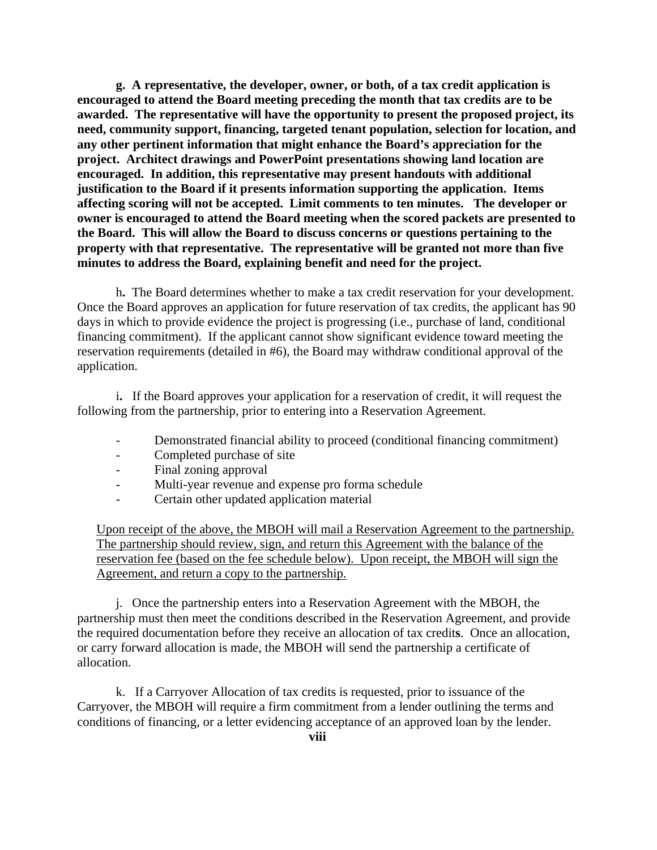**g. A representative, the developer, owner, or both, of a tax credit application is encouraged to attend the Board meeting preceding the month that tax credits are to be awarded. The representative will have the opportunity to present the proposed project, its need, community support, financing, targeted tenant population, selection for location, and any other pertinent information that might enhance the Board's appreciation for the project. Architect drawings and PowerPoint presentations showing land location are encouraged. In addition, this representative may present handouts with additional justification to the Board if it presents information supporting the application. Items affecting scoring will not be accepted. Limit comments to ten minutes. The developer or owner is encouraged to attend the Board meeting when the scored packets are presented to the Board. This will allow the Board to discuss concerns or questions pertaining to the property with that representative. The representative will be granted not more than five minutes to address the Board, explaining benefit and need for the project.** 

h**.** The Board determines whether to make a tax credit reservation for your development. Once the Board approves an application for future reservation of tax credits, the applicant has 90 days in which to provide evidence the project is progressing (i.e., purchase of land, conditional financing commitment). If the applicant cannot show significant evidence toward meeting the reservation requirements (detailed in #6), the Board may withdraw conditional approval of the application.

 i**.** If the Board approves your application for a reservation of credit, it will request the following from the partnership, prior to entering into a Reservation Agreement.

- Demonstrated financial ability to proceed (conditional financing commitment)
- Completed purchase of site
- Final zoning approval
- Multi-year revenue and expense pro forma schedule
- Certain other updated application material

Upon receipt of the above, the MBOH will mail a Reservation Agreement to the partnership. The partnership should review, sign, and return this Agreement with the balance of the reservation fee (based on the fee schedule below). Upon receipt, the MBOH will sign the Agreement, and return a copy to the partnership.

 j. Once the partnership enters into a Reservation Agreement with the MBOH, the partnership must then meet the conditions described in the Reservation Agreement, and provide the required documentation before they receive an allocation of tax credit**s**. Once an allocation, or carry forward allocation is made, the MBOH will send the partnership a certificate of allocation.

 k. If a Carryover Allocation of tax credits is requested, prior to issuance of the Carryover, the MBOH will require a firm commitment from a lender outlining the terms and conditions of financing, or a letter evidencing acceptance of an approved loan by the lender.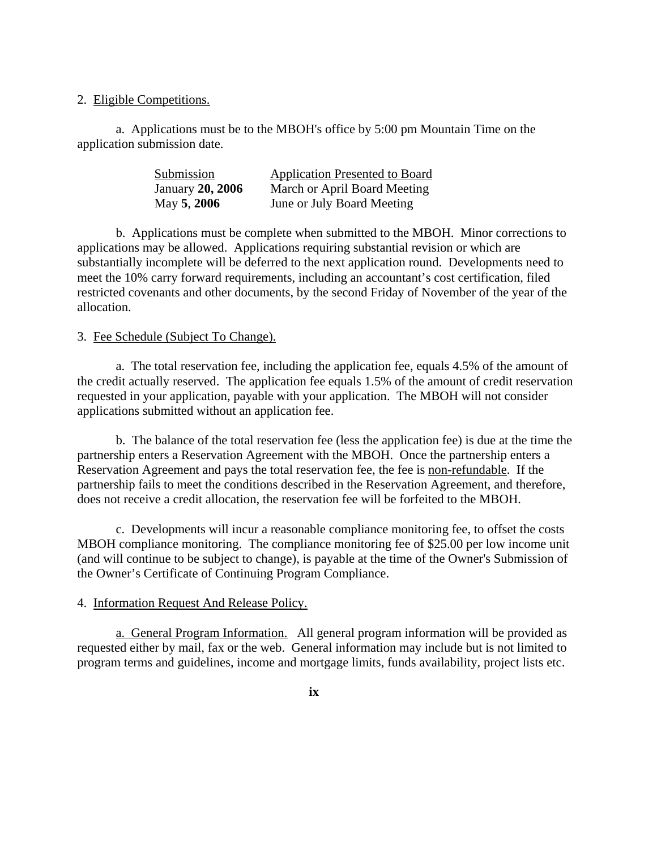2. Eligible Competitions.

a. Applications must be to the MBOH's office by 5:00 pm Mountain Time on the application submission date.

| Submission              | <b>Application Presented to Board</b> |
|-------------------------|---------------------------------------|
| <b>January 20, 2006</b> | March or April Board Meeting          |
| May 5, 2006             | June or July Board Meeting            |

b. Applications must be complete when submitted to the MBOH. Minor corrections to applications may be allowed. Applications requiring substantial revision or which are substantially incomplete will be deferred to the next application round. Developments need to meet the 10% carry forward requirements, including an accountant's cost certification, filed restricted covenants and other documents, by the second Friday of November of the year of the allocation.

### 3. Fee Schedule (Subject To Change).

a. The total reservation fee, including the application fee, equals 4.5% of the amount of the credit actually reserved. The application fee equals 1.5% of the amount of credit reservation requested in your application, payable with your application. The MBOH will not consider applications submitted without an application fee.

 b. The balance of the total reservation fee (less the application fee) is due at the time the partnership enters a Reservation Agreement with the MBOH. Once the partnership enters a Reservation Agreement and pays the total reservation fee, the fee is non-refundable. If the partnership fails to meet the conditions described in the Reservation Agreement, and therefore, does not receive a credit allocation, the reservation fee will be forfeited to the MBOH.

 c. Developments will incur a reasonable compliance monitoring fee, to offset the costs MBOH compliance monitoring. The compliance monitoring fee of \$25.00 per low income unit (and will continue to be subject to change), is payable at the time of the Owner's Submission of the Owner's Certificate of Continuing Program Compliance.

#### 4. Information Request And Release Policy.

a. General Program Information. All general program information will be provided as requested either by mail, fax or the web. General information may include but is not limited to program terms and guidelines, income and mortgage limits, funds availability, project lists etc.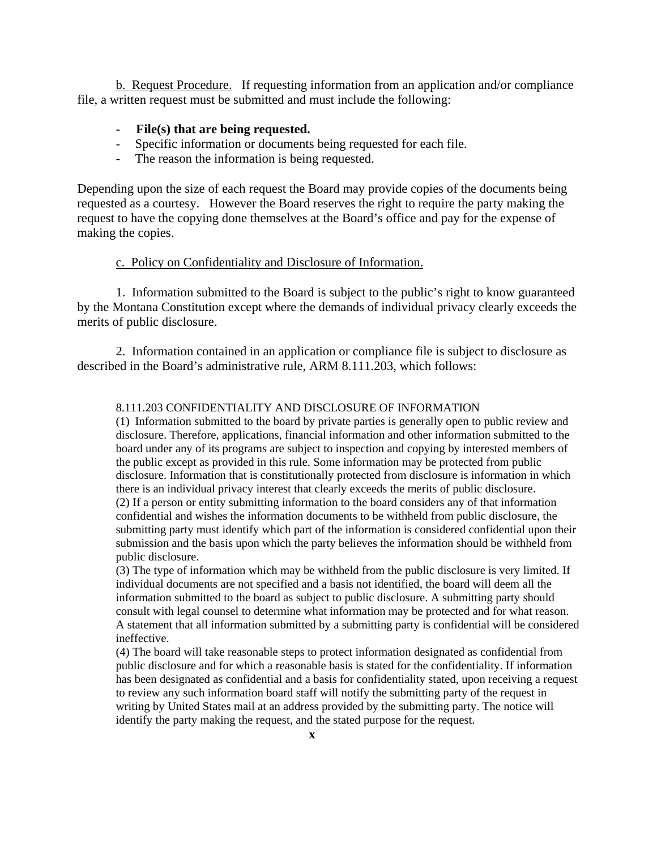b. Request Procedure.If requesting information from an application and/or compliance file, a written request must be submitted and must include the following:

#### **- File(s) that are being requested.**

- Specific information or documents being requested for each file.
- The reason the information is being requested.

Depending upon the size of each request the Board may provide copies of the documents being requested as a courtesy. However the Board reserves the right to require the party making the request to have the copying done themselves at the Board's office and pay for the expense of making the copies.

#### c. Policy on Confidentiality and Disclosure of Information.

1. Information submitted to the Board is subject to the public's right to know guaranteed by the Montana Constitution except where the demands of individual privacy clearly exceeds the merits of public disclosure.

2. Information contained in an application or compliance file is subject to disclosure as described in the Board's administrative rule, ARM 8.111.203, which follows:

#### 8.111.203 CONFIDENTIALITY AND DISCLOSURE OF INFORMATION

(1) Information submitted to the board by private parties is generally open to public review and disclosure. Therefore, applications, financial information and other information submitted to the board under any of its programs are subject to inspection and copying by interested members of the public except as provided in this rule. Some information may be protected from public disclosure. Information that is constitutionally protected from disclosure is information in which there is an individual privacy interest that clearly exceeds the merits of public disclosure. (2) If a person or entity submitting information to the board considers any of that information confidential and wishes the information documents to be withheld from public disclosure, the submitting party must identify which part of the information is considered confidential upon their submission and the basis upon which the party believes the information should be withheld from public disclosure.

(3) The type of information which may be withheld from the public disclosure is very limited. If individual documents are not specified and a basis not identified, the board will deem all the information submitted to the board as subject to public disclosure. A submitting party should consult with legal counsel to determine what information may be protected and for what reason. A statement that all information submitted by a submitting party is confidential will be considered ineffective.

(4) The board will take reasonable steps to protect information designated as confidential from public disclosure and for which a reasonable basis is stated for the confidentiality. If information has been designated as confidential and a basis for confidentiality stated, upon receiving a request to review any such information board staff will notify the submitting party of the request in writing by United States mail at an address provided by the submitting party. The notice will identify the party making the request, and the stated purpose for the request.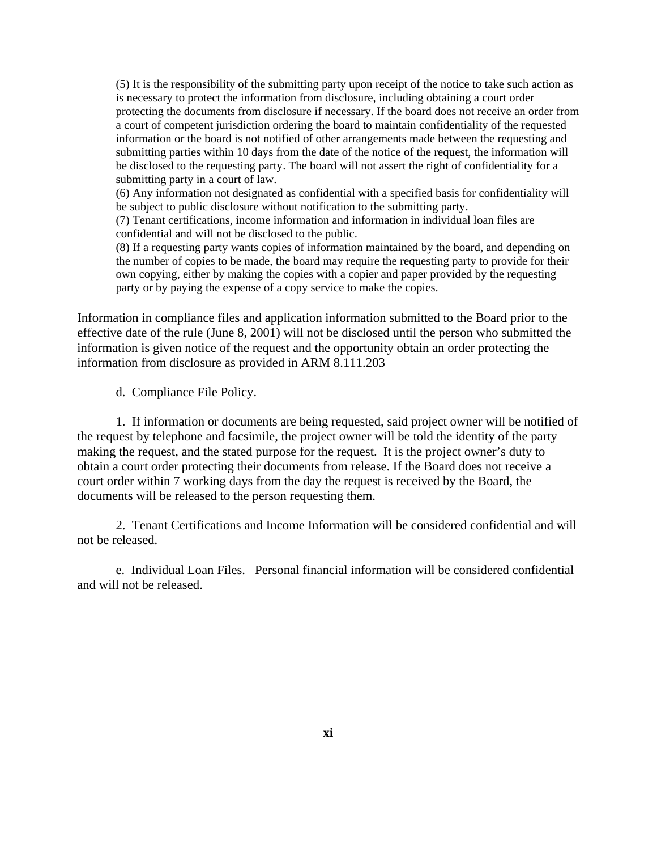(5) It is the responsibility of the submitting party upon receipt of the notice to take such action as is necessary to protect the information from disclosure, including obtaining a court order protecting the documents from disclosure if necessary. If the board does not receive an order from a court of competent jurisdiction ordering the board to maintain confidentiality of the requested information or the board is not notified of other arrangements made between the requesting and submitting parties within 10 days from the date of the notice of the request, the information will be disclosed to the requesting party. The board will not assert the right of confidentiality for a submitting party in a court of law.

(6) Any information not designated as confidential with a specified basis for confidentiality will be subject to public disclosure without notification to the submitting party.

(7) Tenant certifications, income information and information in individual loan files are confidential and will not be disclosed to the public.

(8) If a requesting party wants copies of information maintained by the board, and depending on the number of copies to be made, the board may require the requesting party to provide for their own copying, either by making the copies with a copier and paper provided by the requesting party or by paying the expense of a copy service to make the copies.

Information in compliance files and application information submitted to the Board prior to the effective date of the rule (June 8, 2001) will not be disclosed until the person who submitted the information is given notice of the request and the opportunity obtain an order protecting the information from disclosure as provided in ARM 8.111.203

#### d. Compliance File Policy.

1. If information or documents are being requested, said project owner will be notified of the request by telephone and facsimile, the project owner will be told the identity of the party making the request, and the stated purpose for the request. It is the project owner's duty to obtain a court order protecting their documents from release. If the Board does not receive a court order within 7 working days from the day the request is received by the Board, the documents will be released to the person requesting them.

 2. Tenant Certifications and Income Information will be considered confidential and will not be released.

 e. Individual Loan Files. Personal financial information will be considered confidential and will not be released.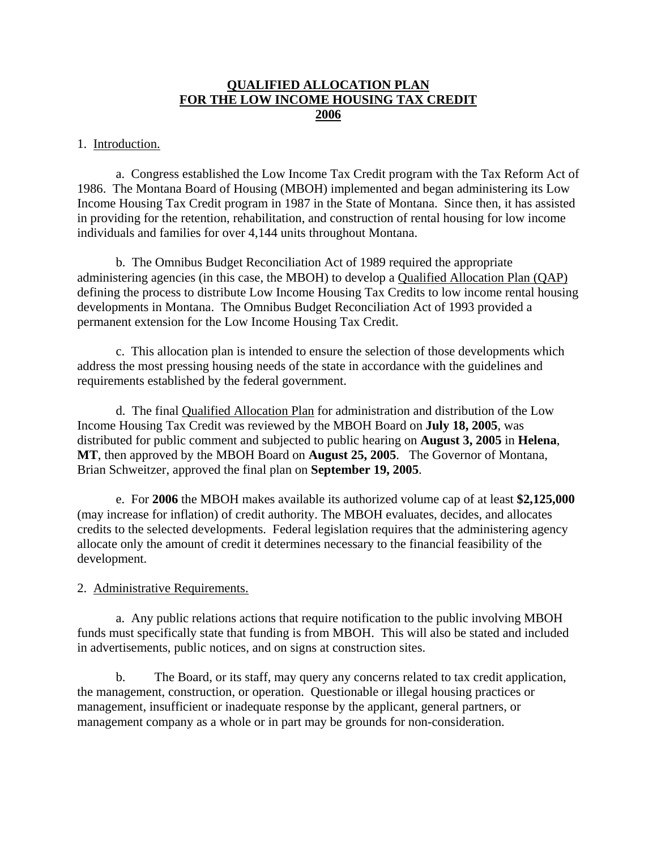# **QUALIFIED ALLOCATION PLAN FOR THE LOW INCOME HOUSING TAX CREDIT 2006**

### 1. Introduction.

a. Congress established the Low Income Tax Credit program with the Tax Reform Act of 1986. The Montana Board of Housing (MBOH) implemented and began administering its Low Income Housing Tax Credit program in 1987 in the State of Montana. Since then, it has assisted in providing for the retention, rehabilitation, and construction of rental housing for low income individuals and families for over 4,144 units throughout Montana.

b. The Omnibus Budget Reconciliation Act of 1989 required the appropriate administering agencies (in this case, the MBOH) to develop a Qualified Allocation Plan (QAP) defining the process to distribute Low Income Housing Tax Credits to low income rental housing developments in Montana. The Omnibus Budget Reconciliation Act of 1993 provided a permanent extension for the Low Income Housing Tax Credit.

c. This allocation plan is intended to ensure the selection of those developments which address the most pressing housing needs of the state in accordance with the guidelines and requirements established by the federal government.

d. The final Qualified Allocation Plan for administration and distribution of the Low Income Housing Tax Credit was reviewed by the MBOH Board on **July 18, 2005**, was distributed for public comment and subjected to public hearing on **August 3, 2005** in **Helena**, **MT**, then approved by the MBOH Board on **August 25, 2005**. The Governor of Montana, Brian Schweitzer, approved the final plan on **September 19, 2005**.

e. For **2006** the MBOH makes available its authorized volume cap of at least **\$2,125,000** (may increase for inflation) of credit authority. The MBOH evaluates, decides, and allocates credits to the selected developments. Federal legislation requires that the administering agency allocate only the amount of credit it determines necessary to the financial feasibility of the development.

### 2. Administrative Requirements.

 a. Any public relations actions that require notification to the public involving MBOH funds must specifically state that funding is from MBOH. This will also be stated and included in advertisements, public notices, and on signs at construction sites.

b. The Board, or its staff, may query any concerns related to tax credit application, the management, construction, or operation. Questionable or illegal housing practices or management, insufficient or inadequate response by the applicant, general partners, or management company as a whole or in part may be grounds for non-consideration.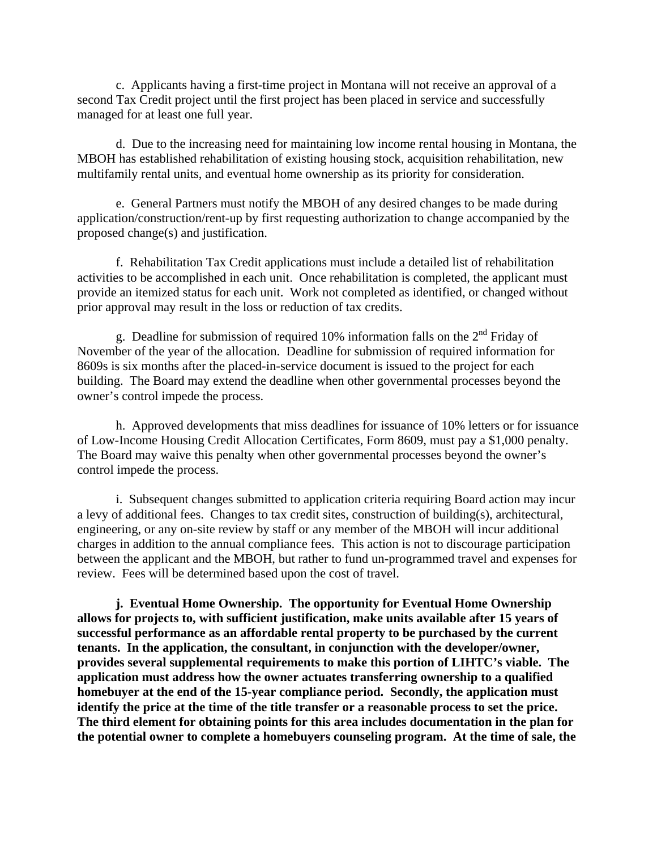c. Applicants having a first-time project in Montana will not receive an approval of a second Tax Credit project until the first project has been placed in service and successfully managed for at least one full year.

 d. Due to the increasing need for maintaining low income rental housing in Montana, the MBOH has established rehabilitation of existing housing stock, acquisition rehabilitation, new multifamily rental units, and eventual home ownership as its priority for consideration.

 e. General Partners must notify the MBOH of any desired changes to be made during application/construction/rent-up by first requesting authorization to change accompanied by the proposed change(s) and justification.

 f. Rehabilitation Tax Credit applications must include a detailed list of rehabilitation activities to be accomplished in each unit. Once rehabilitation is completed, the applicant must provide an itemized status for each unit. Work not completed as identified, or changed without prior approval may result in the loss or reduction of tax credits.

g. Deadline for submission of required 10% information falls on the  $2<sup>nd</sup>$  Friday of November of the year of the allocation. Deadline for submission of required information for 8609s is six months after the placed-in-service document is issued to the project for each building. The Board may extend the deadline when other governmental processes beyond the owner's control impede the process.

h. Approved developments that miss deadlines for issuance of 10% letters or for issuance of Low-Income Housing Credit Allocation Certificates, Form 8609, must pay a \$1,000 penalty. The Board may waive this penalty when other governmental processes beyond the owner's control impede the process.

i. Subsequent changes submitted to application criteria requiring Board action may incur a levy of additional fees. Changes to tax credit sites, construction of building(s), architectural, engineering, or any on-site review by staff or any member of the MBOH will incur additional charges in addition to the annual compliance fees. This action is not to discourage participation between the applicant and the MBOH, but rather to fund un-programmed travel and expenses for review. Fees will be determined based upon the cost of travel.

**j. Eventual Home Ownership. The opportunity for Eventual Home Ownership allows for projects to, with sufficient justification, make units available after 15 years of successful performance as an affordable rental property to be purchased by the current tenants. In the application, the consultant, in conjunction with the developer/owner, provides several supplemental requirements to make this portion of LIHTC's viable. The application must address how the owner actuates transferring ownership to a qualified homebuyer at the end of the 15-year compliance period. Secondly, the application must identify the price at the time of the title transfer or a reasonable process to set the price. The third element for obtaining points for this area includes documentation in the plan for the potential owner to complete a homebuyers counseling program. At the time of sale, the**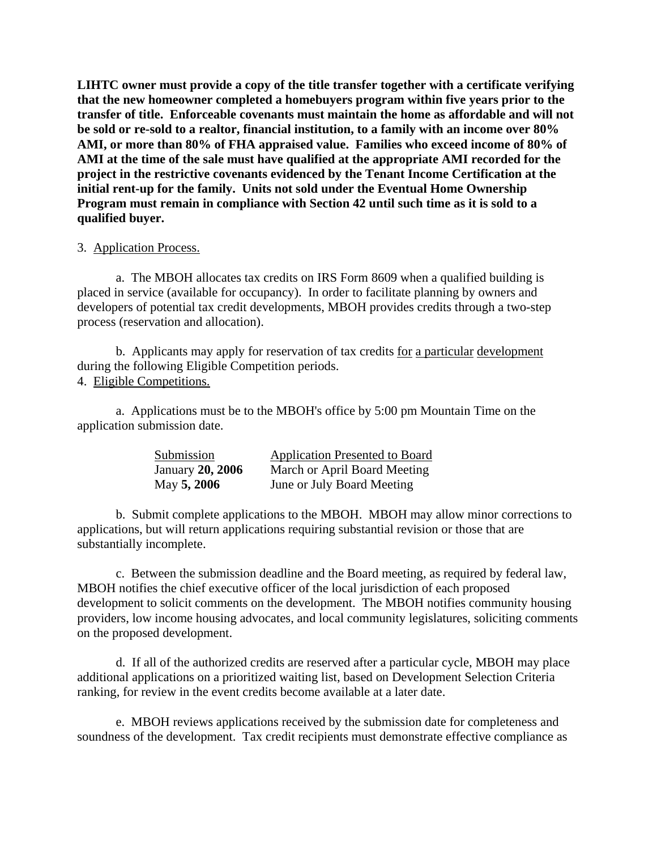**LIHTC owner must provide a copy of the title transfer together with a certificate verifying that the new homeowner completed a homebuyers program within five years prior to the transfer of title. Enforceable covenants must maintain the home as affordable and will not be sold or re-sold to a realtor, financial institution, to a family with an income over 80% AMI, or more than 80% of FHA appraised value. Families who exceed income of 80% of AMI at the time of the sale must have qualified at the appropriate AMI recorded for the project in the restrictive covenants evidenced by the Tenant Income Certification at the initial rent-up for the family. Units not sold under the Eventual Home Ownership Program must remain in compliance with Section 42 until such time as it is sold to a qualified buyer.** 

### 3. Application Process.

a. The MBOH allocates tax credits on IRS Form 8609 when a qualified building is placed in service (available for occupancy). In order to facilitate planning by owners and developers of potential tax credit developments, MBOH provides credits through a two-step process (reservation and allocation).

b. Applicants may apply for reservation of tax credits for a particular development during the following Eligible Competition periods. 4. Eligible Competitions.

a. Applications must be to the MBOH's office by 5:00 pm Mountain Time on the application submission date.

| Submission              | <b>Application Presented to Board</b> |
|-------------------------|---------------------------------------|
| <b>January 20, 2006</b> | March or April Board Meeting          |
| May 5, 2006             | June or July Board Meeting            |

b. Submit complete applications to the MBOH. MBOH may allow minor corrections to applications, but will return applications requiring substantial revision or those that are substantially incomplete.

c. Between the submission deadline and the Board meeting, as required by federal law, MBOH notifies the chief executive officer of the local jurisdiction of each proposed development to solicit comments on the development. The MBOH notifies community housing providers, low income housing advocates, and local community legislatures, soliciting comments on the proposed development.

d. If all of the authorized credits are reserved after a particular cycle, MBOH may place additional applications on a prioritized waiting list, based on Development Selection Criteria ranking, for review in the event credits become available at a later date.

e. MBOH reviews applications received by the submission date for completeness and soundness of the development. Tax credit recipients must demonstrate effective compliance as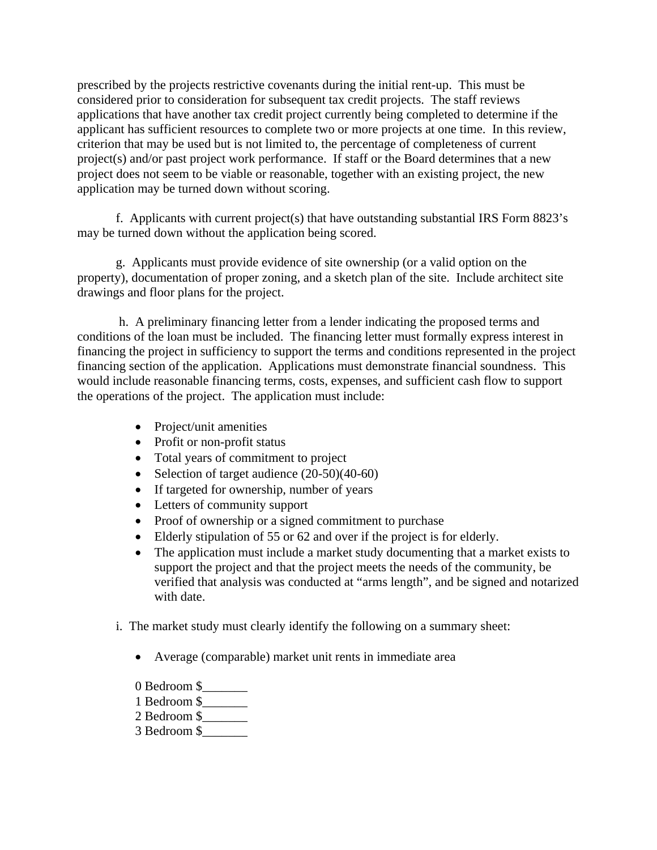prescribed by the projects restrictive covenants during the initial rent-up. This must be considered prior to consideration for subsequent tax credit projects. The staff reviews applications that have another tax credit project currently being completed to determine if the applicant has sufficient resources to complete two or more projects at one time. In this review, criterion that may be used but is not limited to, the percentage of completeness of current project(s) and/or past project work performance. If staff or the Board determines that a new project does not seem to be viable or reasonable, together with an existing project, the new application may be turned down without scoring.

f. Applicants with current project(s) that have outstanding substantial IRS Form 8823's may be turned down without the application being scored.

g. Applicants must provide evidence of site ownership (or a valid option on the property), documentation of proper zoning, and a sketch plan of the site. Include architect site drawings and floor plans for the project.

 h. A preliminary financing letter from a lender indicating the proposed terms and conditions of the loan must be included. The financing letter must formally express interest in financing the project in sufficiency to support the terms and conditions represented in the project financing section of the application. Applications must demonstrate financial soundness. This would include reasonable financing terms, costs, expenses, and sufficient cash flow to support the operations of the project. The application must include:

- Project/unit amenities
- Profit or non-profit status
- Total years of commitment to project
- Selection of target audience (20-50)(40-60)
- If targeted for ownership, number of years
- Letters of community support
- Proof of ownership or a signed commitment to purchase
- Elderly stipulation of 55 or 62 and over if the project is for elderly.
- The application must include a market study documenting that a market exists to support the project and that the project meets the needs of the community, be verified that analysis was conducted at "arms length", and be signed and notarized with date.
- i. The market study must clearly identify the following on a summary sheet:
	- Average (comparable) market unit rents in immediate area
	- 0 Bedroom \$
	- 1 Bedroom \$\_\_\_\_\_\_\_
	- 2 Bedroom \$\_\_\_\_\_\_\_
	- 3 Bedroom \$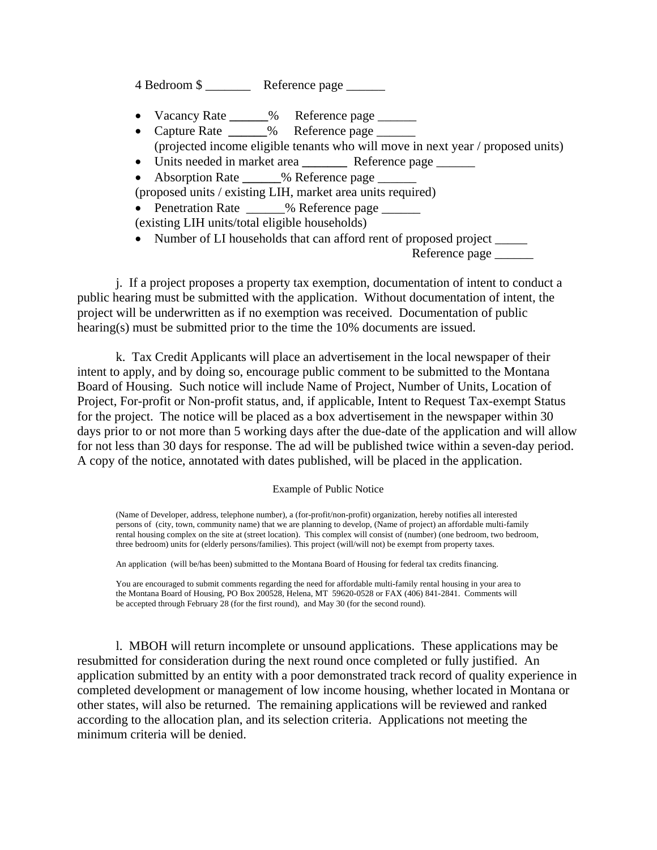4 Bedroom \$ \_\_\_\_\_\_\_ Reference page \_\_\_\_\_\_

- Vacancy Rate **\_\_\_\_\_\_**% Reference page \_\_\_\_\_\_
- Capture Rate **\_\_\_\_\_\_**% Reference page \_\_\_\_\_\_ (projected income eligible tenants who will move in next year / proposed units)
- Units needed in market area **\_\_\_\_\_\_\_** Reference page \_\_\_\_\_\_
- Absorption Rate  $\%$  Reference page
- (proposed units / existing LIH, market area units required)
- Penetration Rate \_\_\_\_\_ % Reference page \_\_\_\_\_\_

(existing LIH units/total eligible households)

• Number of LI households that can afford rent of proposed project \_\_\_\_\_\_ Reference page \_\_\_\_\_\_\_\_

j. If a project proposes a property tax exemption, documentation of intent to conduct a public hearing must be submitted with the application. Without documentation of intent, the project will be underwritten as if no exemption was received. Documentation of public hearing(s) must be submitted prior to the time the 10% documents are issued.

k. Tax Credit Applicants will place an advertisement in the local newspaper of their intent to apply, and by doing so, encourage public comment to be submitted to the Montana Board of Housing. Such notice will include Name of Project, Number of Units, Location of Project, For-profit or Non-profit status, and, if applicable, Intent to Request Tax-exempt Status for the project. The notice will be placed as a box advertisement in the newspaper within 30 days prior to or not more than 5 working days after the due-date of the application and will allow for not less than 30 days for response. The ad will be published twice within a seven-day period. A copy of the notice, annotated with dates published, will be placed in the application.

#### Example of Public Notice

(Name of Developer, address, telephone number), a (for-profit/non-profit) organization, hereby notifies all interested persons of (city, town, community name) that we are planning to develop, (Name of project) an affordable multi-family rental housing complex on the site at (street location). This complex will consist of (number) (one bedroom, two bedroom, three bedroom) units for (elderly persons/families). This project (will/will not) be exempt from property taxes.

An application (will be/has been) submitted to the Montana Board of Housing for federal tax credits financing.

You are encouraged to submit comments regarding the need for affordable multi-family rental housing in your area to the Montana Board of Housing, PO Box 200528, Helena, MT 59620-0528 or FAX (406) 841-2841. Comments will be accepted through February 28 (for the first round), and May 30 (for the second round).

l. MBOH will return incomplete or unsound applications. These applications may be resubmitted for consideration during the next round once completed or fully justified. An application submitted by an entity with a poor demonstrated track record of quality experience in completed development or management of low income housing, whether located in Montana or other states, will also be returned. The remaining applications will be reviewed and ranked according to the allocation plan, and its selection criteria. Applications not meeting the minimum criteria will be denied.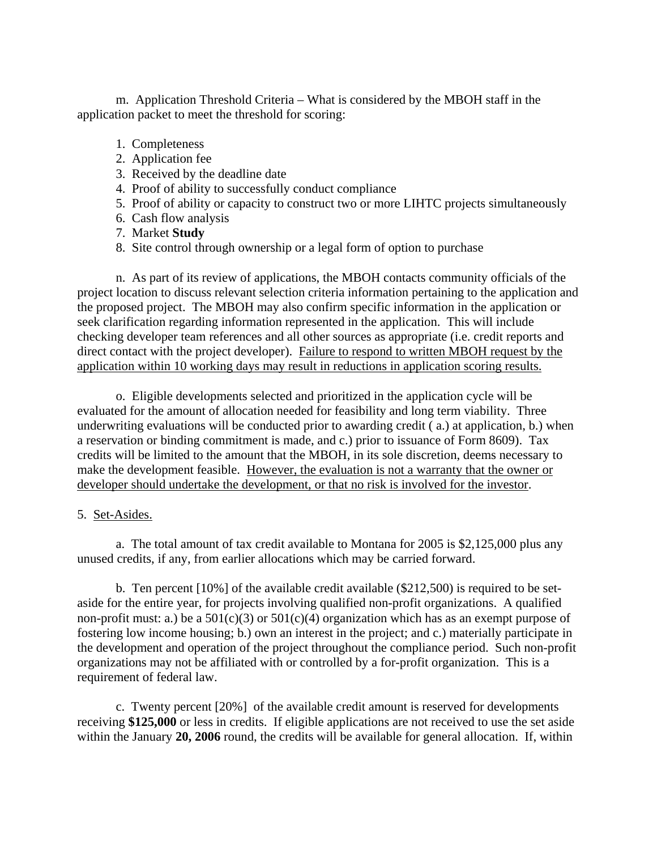m. Application Threshold Criteria – What is considered by the MBOH staff in the application packet to meet the threshold for scoring:

- 1. Completeness
- 2. Application fee
- 3. Received by the deadline date
- 4. Proof of ability to successfully conduct compliance
- 5. Proof of ability or capacity to construct two or more LIHTC projects simultaneously
- 6. Cash flow analysis
- 7. Market **Study**
- 8. Site control through ownership or a legal form of option to purchase

n. As part of its review of applications, the MBOH contacts community officials of the project location to discuss relevant selection criteria information pertaining to the application and the proposed project. The MBOH may also confirm specific information in the application or seek clarification regarding information represented in the application. This will include checking developer team references and all other sources as appropriate (i.e. credit reports and direct contact with the project developer). Failure to respond to written MBOH request by the application within 10 working days may result in reductions in application scoring results.

o. Eligible developments selected and prioritized in the application cycle will be evaluated for the amount of allocation needed for feasibility and long term viability. Three underwriting evaluations will be conducted prior to awarding credit ( a.) at application, b.) when a reservation or binding commitment is made, and c.) prior to issuance of Form 8609). Tax credits will be limited to the amount that the MBOH, in its sole discretion, deems necessary to make the development feasible. However, the evaluation is not a warranty that the owner or developer should undertake the development, or that no risk is involved for the investor.

# 5. Set-Asides.

a. The total amount of tax credit available to Montana for 2005 is \$2,125,000 plus any unused credits, if any, from earlier allocations which may be carried forward.

 b. Ten percent [10%] of the available credit available (\$212,500) is required to be setaside for the entire year, for projects involving qualified non-profit organizations. A qualified non-profit must: a.) be a  $501(c)(3)$  or  $501(c)(4)$  organization which has as an exempt purpose of fostering low income housing; b.) own an interest in the project; and c.) materially participate in the development and operation of the project throughout the compliance period. Such non-profit organizations may not be affiliated with or controlled by a for-profit organization. This is a requirement of federal law.

 c. Twenty percent [20%] of the available credit amount is reserved for developments receiving **\$125,000** or less in credits. If eligible applications are not received to use the set aside within the January 20, 2006 round, the credits will be available for general allocation. If, within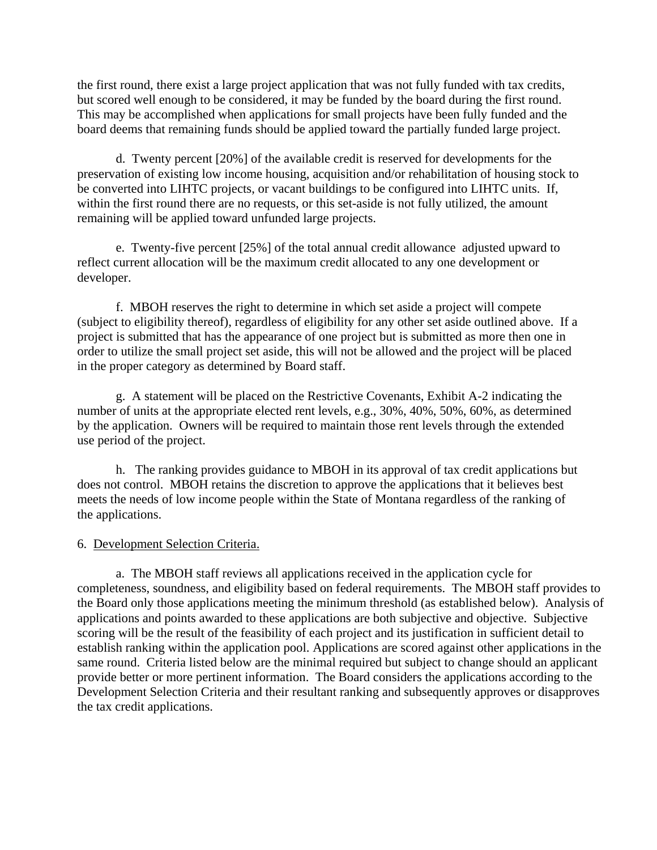the first round, there exist a large project application that was not fully funded with tax credits, but scored well enough to be considered, it may be funded by the board during the first round. This may be accomplished when applications for small projects have been fully funded and the board deems that remaining funds should be applied toward the partially funded large project.

 d. Twenty percent [20%] of the available credit is reserved for developments for the preservation of existing low income housing, acquisition and/or rehabilitation of housing stock to be converted into LIHTC projects, or vacant buildings to be configured into LIHTC units. If, within the first round there are no requests, or this set-aside is not fully utilized, the amount remaining will be applied toward unfunded large projects.

 e. Twenty-five percent [25%] of the total annual credit allowance adjusted upward to reflect current allocation will be the maximum credit allocated to any one development or developer.

 f. MBOH reserves the right to determine in which set aside a project will compete (subject to eligibility thereof), regardless of eligibility for any other set aside outlined above. If a project is submitted that has the appearance of one project but is submitted as more then one in order to utilize the small project set aside, this will not be allowed and the project will be placed in the proper category as determined by Board staff.

 g. A statement will be placed on the Restrictive Covenants, Exhibit A-2 indicating the number of units at the appropriate elected rent levels, e.g., 30%, 40%, 50%, 60%, as determined by the application. Owners will be required to maintain those rent levels through the extended use period of the project.

h. The ranking provides guidance to MBOH in its approval of tax credit applications but does not control. MBOH retains the discretion to approve the applications that it believes best meets the needs of low income people within the State of Montana regardless of the ranking of the applications.

#### 6. Development Selection Criteria.

 a. The MBOH staff reviews all applications received in the application cycle for completeness, soundness, and eligibility based on federal requirements. The MBOH staff provides to the Board only those applications meeting the minimum threshold (as established below). Analysis of applications and points awarded to these applications are both subjective and objective. Subjective scoring will be the result of the feasibility of each project and its justification in sufficient detail to establish ranking within the application pool. Applications are scored against other applications in the same round. Criteria listed below are the minimal required but subject to change should an applicant provide better or more pertinent information. The Board considers the applications according to the Development Selection Criteria and their resultant ranking and subsequently approves or disapproves the tax credit applications.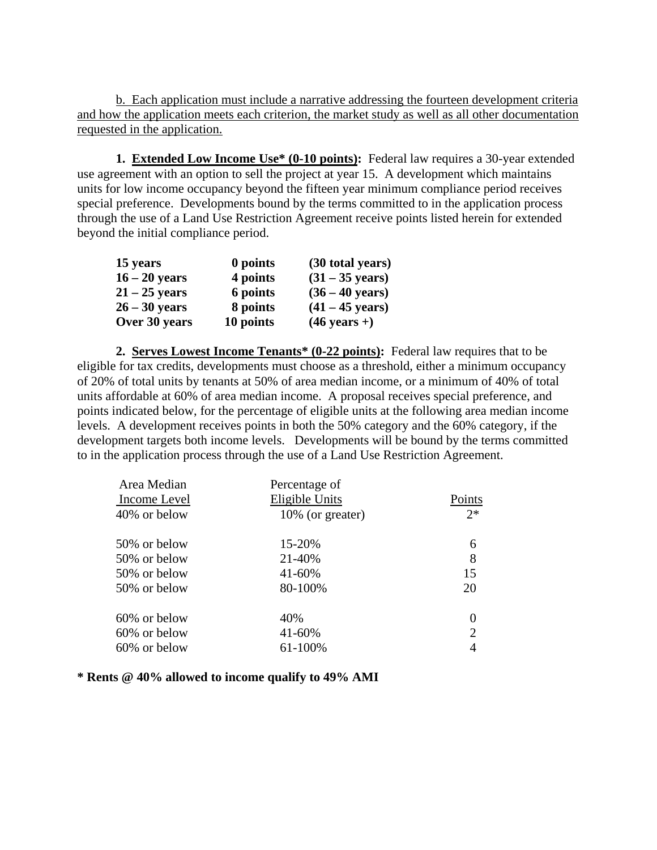b. Each application must include a narrative addressing the fourteen development criteria and how the application meets each criterion, the market study as well as all other documentation requested in the application.

**1. Extended Low Income Use\* (0-10 points):** Federal law requires a 30-year extended use agreement with an option to sell the project at year 15. A development which maintains units for low income occupancy beyond the fifteen year minimum compliance period receives special preference. Developments bound by the terms committed to in the application process through the use of a Land Use Restriction Agreement receive points listed herein for extended beyond the initial compliance period.

| 15 years        | 0 points  | (30 total years)          |
|-----------------|-----------|---------------------------|
| $16 - 20$ years | 4 points  | $(31 - 35 \text{ years})$ |
| $21 - 25$ years | 6 points  | $(36 - 40 \text{ years})$ |
| $26 - 30$ years | 8 points  | $(41 - 45 \text{ years})$ |
| Over 30 years   | 10 points | $(46 \text{ years} +)$    |

**2. Serves Lowest Income Tenants\* (0-22 points):** Federal law requires that to be eligible for tax credits, developments must choose as a threshold, either a minimum occupancy of 20% of total units by tenants at 50% of area median income, or a minimum of 40% of total units affordable at 60% of area median income. A proposal receives special preference, and points indicated below, for the percentage of eligible units at the following area median income levels. A development receives points in both the 50% category and the 60% category, if the development targets both income levels. Developments will be bound by the terms committed to in the application process through the use of a Land Use Restriction Agreement.

| Area Median  | Percentage of    |                |
|--------------|------------------|----------------|
| Income Level | Eligible Units   | Points         |
| 40% or below | 10% (or greater) | $2*$           |
| 50% or below | 15-20%           | 6              |
| 50% or below | 21-40%           | 8              |
| 50% or below | 41-60%           | 15             |
| 50% or below | 80-100%          | 20             |
| 60% or below | 40%              | 0              |
| 60% or below | 41-60%           | $\overline{2}$ |
| 60% or below | 61-100%          |                |

**\* Rents @ 40% allowed to income qualify to 49% AMI**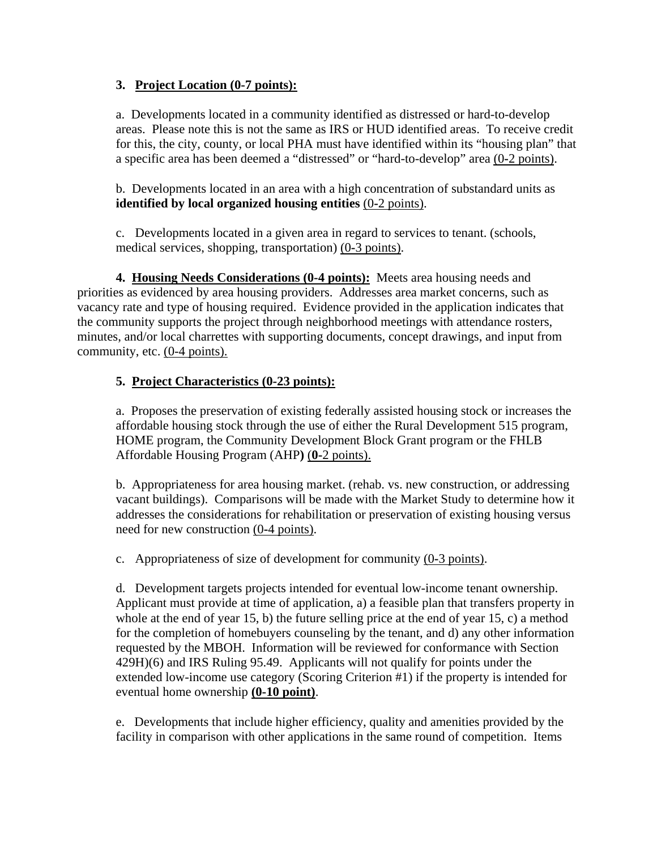# **3. Project Location (0-7 points):**

a. Developments located in a community identified as distressed or hard-to-develop areas. Please note this is not the same as IRS or HUD identified areas. To receive credit for this, the city, county, or local PHA must have identified within its "housing plan" that a specific area has been deemed a "distressed" or "hard-to-develop" area (0**-**2 points).

b. Developments located in an area with a high concentration of substandard units as **identified by local organized housing entities** (0**-**2 points).

c. Developments located in a given area in regard to services to tenant. (schools, medical services, shopping, transportation) (0**-**3 points).

 **4. Housing Needs Considerations (0-4 points):** Meets area housing needs and priorities as evidenced by area housing providers. Addresses area market concerns, such as vacancy rate and type of housing required. Evidence provided in the application indicates that the community supports the project through neighborhood meetings with attendance rosters, minutes, and/or local charrettes with supporting documents, concept drawings, and input from community, etc. (0-4 points).

# **5. Project Characteristics (0-23 points):**

a. Proposes the preservation of existing federally assisted housing stock or increases the affordable housing stock through the use of either the Rural Development 515 program, HOME program, the Community Development Block Grant program or the FHLB Affordable Housing Program (AHP**)** (**0-**2 points).

b. Appropriateness for area housing market. (rehab. vs. new construction, or addressing vacant buildings). Comparisons will be made with the Market Study to determine how it addresses the considerations for rehabilitation or preservation of existing housing versus need for new construction (0**-**4 points).

c. Appropriateness of size of development for community (0**-**3 points).

d. Development targets projects intended for eventual low-income tenant ownership. Applicant must provide at time of application, a) a feasible plan that transfers property in whole at the end of year 15, b) the future selling price at the end of year 15, c) a method for the completion of homebuyers counseling by the tenant, and d) any other information requested by the MBOH. Information will be reviewed for conformance with Section 429H)(6) and IRS Ruling 95.49. Applicants will not qualify for points under the extended low-income use category (Scoring Criterion #1) if the property is intended for eventual home ownership **(0-10 point)**.

e. Developments that include higher efficiency, quality and amenities provided by the facility in comparison with other applications in the same round of competition. Items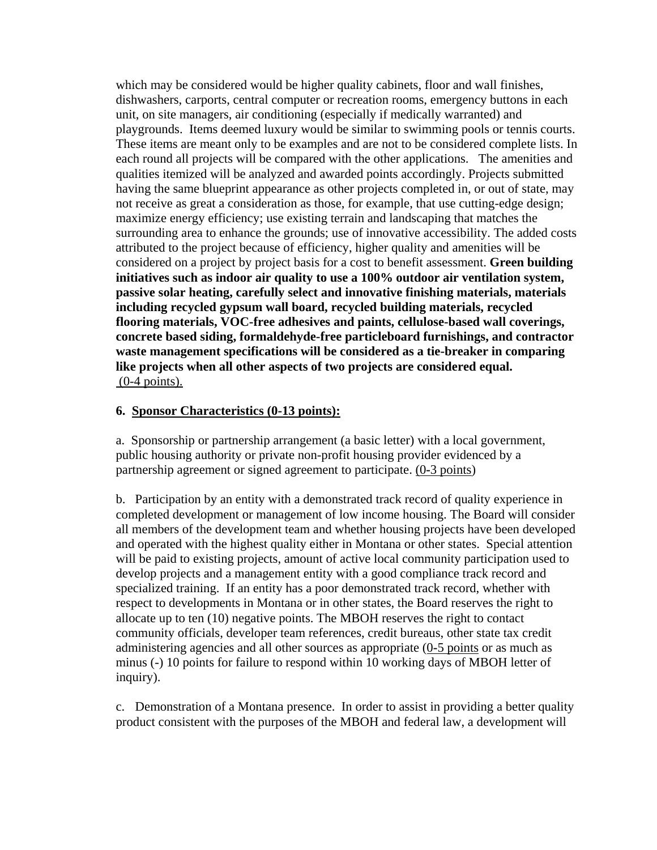which may be considered would be higher quality cabinets, floor and wall finishes, dishwashers, carports, central computer or recreation rooms, emergency buttons in each unit, on site managers, air conditioning (especially if medically warranted) and playgrounds. Items deemed luxury would be similar to swimming pools or tennis courts. These items are meant only to be examples and are not to be considered complete lists. In each round all projects will be compared with the other applications. The amenities and qualities itemized will be analyzed and awarded points accordingly. Projects submitted having the same blueprint appearance as other projects completed in, or out of state, may not receive as great a consideration as those, for example, that use cutting-edge design; maximize energy efficiency; use existing terrain and landscaping that matches the surrounding area to enhance the grounds; use of innovative accessibility. The added costs attributed to the project because of efficiency, higher quality and amenities will be considered on a project by project basis for a cost to benefit assessment. **Green building initiatives such as indoor air quality to use a 100% outdoor air ventilation system, passive solar heating, carefully select and innovative finishing materials, materials including recycled gypsum wall board, recycled building materials, recycled flooring materials, VOC-free adhesives and paints, cellulose-based wall coverings, concrete based siding, formaldehyde-free particleboard furnishings, and contractor waste management specifications will be considered as a tie-breaker in comparing like projects when all other aspects of two projects are considered equal.** (0-4 points).

### **6. Sponsor Characteristics (0-13 points):**

a. Sponsorship or partnership arrangement (a basic letter) with a local government, public housing authority or private non-profit housing provider evidenced by a partnership agreement or signed agreement to participate. (0**-**3 points)

b. Participation by an entity with a demonstrated track record of quality experience in completed development or management of low income housing. The Board will consider all members of the development team and whether housing projects have been developed and operated with the highest quality either in Montana or other states. Special attention will be paid to existing projects, amount of active local community participation used to develop projects and a management entity with a good compliance track record and specialized training. If an entity has a poor demonstrated track record, whether with respect to developments in Montana or in other states, the Board reserves the right to allocate up to ten (10) negative points. The MBOH reserves the right to contact community officials, developer team references, credit bureaus, other state tax credit administering agencies and all other sources as appropriate (0**-**5 points or as much as minus (-) 10 points for failure to respond within 10 working days of MBOH letter of inquiry).

c. Demonstration of a Montana presence. In order to assist in providing a better quality product consistent with the purposes of the MBOH and federal law, a development will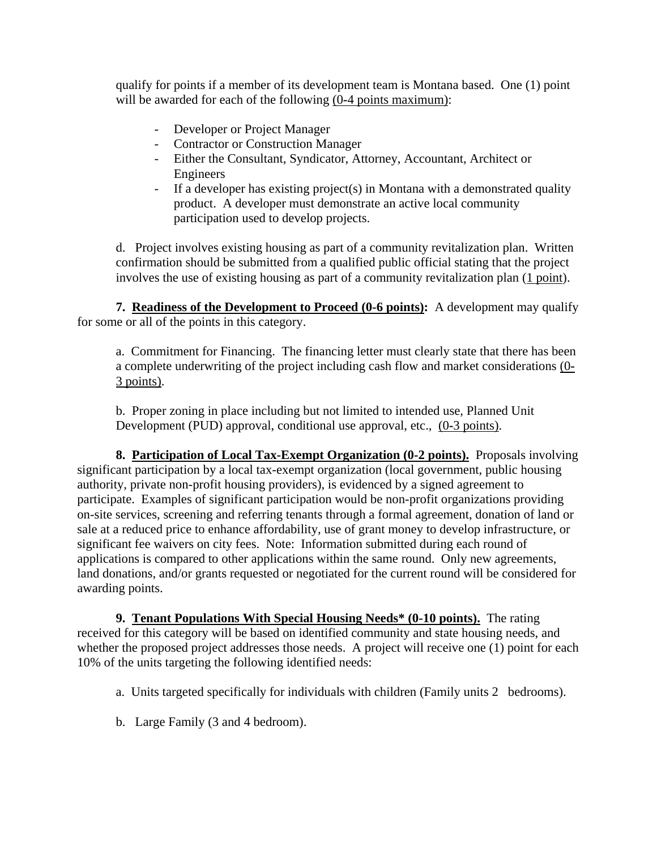qualify for points if a member of its development team is Montana based. One (1) point will be awarded for each of the following (0**-**4 points maximum):

- Developer or Project Manager
- Contractor or Construction Manager
- Either the Consultant, Syndicator, Attorney, Accountant, Architect or Engineers
- If a developer has existing project(s) in Montana with a demonstrated quality product. A developer must demonstrate an active local community participation used to develop projects.

 d. Project involves existing housing as part of a community revitalization plan. Written confirmation should be submitted from a qualified public official stating that the project involves the use of existing housing as part of a community revitalization plan (1 point).

**7. Readiness of the Development to Proceed (0-6 points):** A development may qualify for some or all of the points in this category.

a. Commitment for Financing. The financing letter must clearly state that there has been a complete underwriting of the project including cash flow and market considerations (0**-** 3 points).

b. Proper zoning in place including but not limited to intended use, Planned Unit Development (PUD) approval, conditional use approval, etc., (0**-**3 points).

**8. Participation of Local Tax-Exempt Organization (0-2 points).** Proposals involving significant participation by a local tax-exempt organization (local government, public housing authority, private non-profit housing providers), is evidenced by a signed agreement to participate. Examples of significant participation would be non-profit organizations providing on-site services, screening and referring tenants through a formal agreement, donation of land or sale at a reduced price to enhance affordability, use of grant money to develop infrastructure, or significant fee waivers on city fees. Note: Information submitted during each round of applications is compared to other applications within the same round. Only new agreements, land donations, and/or grants requested or negotiated for the current round will be considered for awarding points.

**9. Tenant Populations With Special Housing Needs\* (0-10 points).** The rating received for this category will be based on identified community and state housing needs, and whether the proposed project addresses those needs. A project will receive one (1) point for each 10% of the units targeting the following identified needs:

- a. Units targeted specifically for individuals with children (Family units 2 bedrooms).
- b. Large Family (3 and 4 bedroom).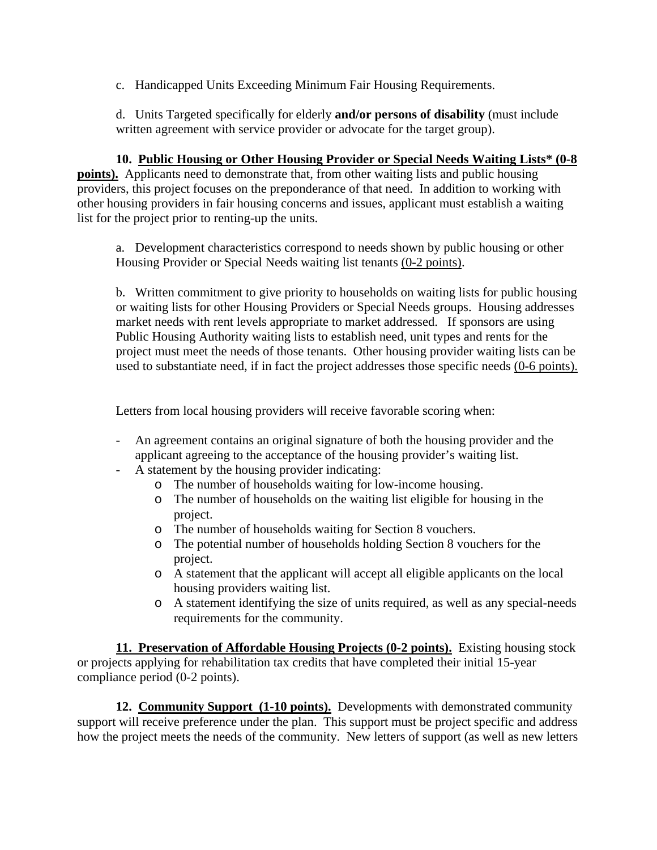c. Handicapped Units Exceeding Minimum Fair Housing Requirements.

d. Units Targeted specifically for elderly **and/or persons of disability** (must include written agreement with service provider or advocate for the target group).

**10. Public Housing or Other Housing Provider or Special Needs Waiting Lists\* (0-8 points).** Applicants need to demonstrate that, from other waiting lists and public housing providers, this project focuses on the preponderance of that need. In addition to working with other housing providers in fair housing concerns and issues, applicant must establish a waiting list for the project prior to renting-up the units.

a. Development characteristics correspond to needs shown by public housing or other Housing Provider or Special Needs waiting list tenants (0**-**2 points).

b. Written commitment to give priority to households on waiting lists for public housing or waiting lists for other Housing Providers or Special Needs groups. Housing addresses market needs with rent levels appropriate to market addressed. If sponsors are using Public Housing Authority waiting lists to establish need, unit types and rents for the project must meet the needs of those tenants. Other housing provider waiting lists can be used to substantiate need, if in fact the project addresses those specific needs (0**-**6 points).

Letters from local housing providers will receive favorable scoring when:

- An agreement contains an original signature of both the housing provider and the applicant agreeing to the acceptance of the housing provider's waiting list.
- A statement by the housing provider indicating:
	- o The number of households waiting for low-income housing.
	- o The number of households on the waiting list eligible for housing in the project.
	- o The number of households waiting for Section 8 vouchers.
	- o The potential number of households holding Section 8 vouchers for the project.
	- o A statement that the applicant will accept all eligible applicants on the local housing providers waiting list.
	- o A statement identifying the size of units required, as well as any special-needs requirements for the community.

**11. Preservation of Affordable Housing Projects (0-2 points).** Existing housing stock or projects applying for rehabilitation tax credits that have completed their initial 15-year compliance period (0-2 points).

**12. Community Support (1-10 points).** Developments with demonstrated community support will receive preference under the plan. This support must be project specific and address how the project meets the needs of the community. New letters of support (as well as new letters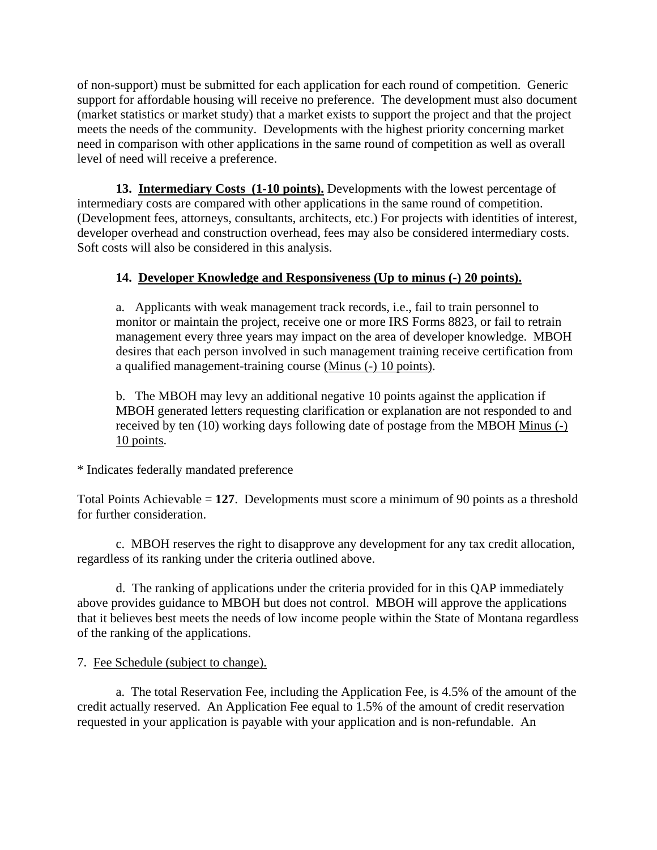of non-support) must be submitted for each application for each round of competition. Generic support for affordable housing will receive no preference. The development must also document (market statistics or market study) that a market exists to support the project and that the project meets the needs of the community. Developments with the highest priority concerning market need in comparison with other applications in the same round of competition as well as overall level of need will receive a preference.

**13. Intermediary Costs (1-10 points).** Developments with the lowest percentage of intermediary costs are compared with other applications in the same round of competition. (Development fees, attorneys, consultants, architects, etc.) For projects with identities of interest, developer overhead and construction overhead, fees may also be considered intermediary costs. Soft costs will also be considered in this analysis.

# **14. Developer Knowledge and Responsiveness (Up to minus (-) 20 points).**

a. Applicants with weak management track records, i.e., fail to train personnel to monitor or maintain the project, receive one or more IRS Forms 8823, or fail to retrain management every three years may impact on the area of developer knowledge. MBOH desires that each person involved in such management training receive certification from a qualified management-training course (Minus (-) 10 points).

b. The MBOH may levy an additional negative 10 points against the application if MBOH generated letters requesting clarification or explanation are not responded to and received by ten (10) working days following date of postage from the MBOH Minus (-) 10 points.

\* Indicates federally mandated preference

Total Points Achievable = **127**. Developments must score a minimum of 90 points as a threshold for further consideration.

c. MBOH reserves the right to disapprove any development for any tax credit allocation, regardless of its ranking under the criteria outlined above.

d. The ranking of applications under the criteria provided for in this QAP immediately above provides guidance to MBOH but does not control. MBOH will approve the applications that it believes best meets the needs of low income people within the State of Montana regardless of the ranking of the applications.

# 7. Fee Schedule (subject to change).

 a. The total Reservation Fee, including the Application Fee, is 4.5% of the amount of the credit actually reserved. An Application Fee equal to 1.5% of the amount of credit reservation requested in your application is payable with your application and is non-refundable. An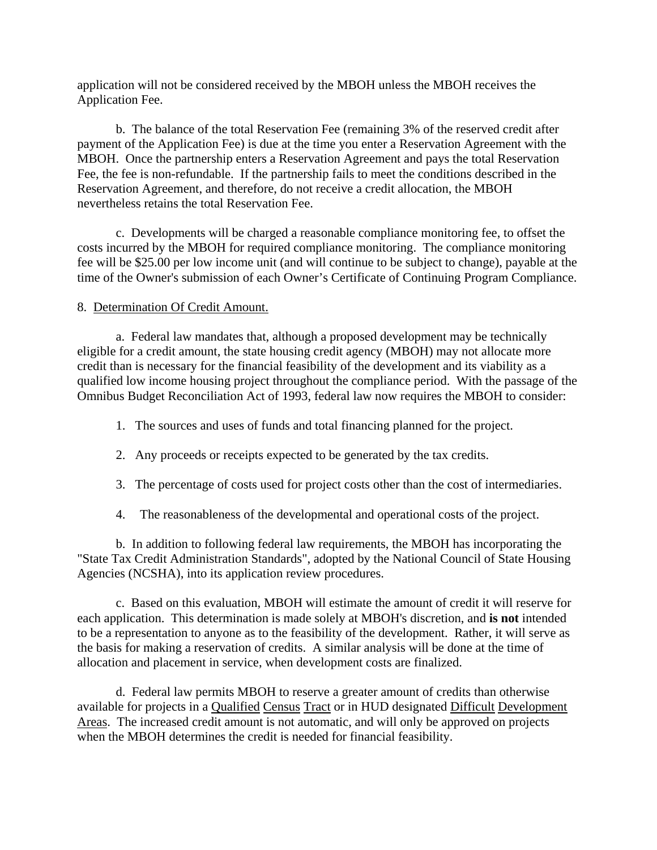application will not be considered received by the MBOH unless the MBOH receives the Application Fee.

 b. The balance of the total Reservation Fee (remaining 3% of the reserved credit after payment of the Application Fee) is due at the time you enter a Reservation Agreement with the MBOH. Once the partnership enters a Reservation Agreement and pays the total Reservation Fee, the fee is non-refundable. If the partnership fails to meet the conditions described in the Reservation Agreement, and therefore, do not receive a credit allocation, the MBOH nevertheless retains the total Reservation Fee.

 c. Developments will be charged a reasonable compliance monitoring fee, to offset the costs incurred by the MBOH for required compliance monitoring. The compliance monitoring fee will be \$25.00 per low income unit (and will continue to be subject to change), payable at the time of the Owner's submission of each Owner's Certificate of Continuing Program Compliance.

### 8. Determination Of Credit Amount.

a. Federal law mandates that, although a proposed development may be technically eligible for a credit amount, the state housing credit agency (MBOH) may not allocate more credit than is necessary for the financial feasibility of the development and its viability as a qualified low income housing project throughout the compliance period. With the passage of the Omnibus Budget Reconciliation Act of 1993, federal law now requires the MBOH to consider:

- 1. The sources and uses of funds and total financing planned for the project.
- 2. Any proceeds or receipts expected to be generated by the tax credits.
- 3. The percentage of costs used for project costs other than the cost of intermediaries.
- 4. The reasonableness of the developmental and operational costs of the project.

b. In addition to following federal law requirements, the MBOH has incorporating the "State Tax Credit Administration Standards", adopted by the National Council of State Housing Agencies (NCSHA), into its application review procedures.

c. Based on this evaluation, MBOH will estimate the amount of credit it will reserve for each application. This determination is made solely at MBOH's discretion, and **is not** intended to be a representation to anyone as to the feasibility of the development. Rather, it will serve as the basis for making a reservation of credits. A similar analysis will be done at the time of allocation and placement in service, when development costs are finalized.

d. Federal law permits MBOH to reserve a greater amount of credits than otherwise available for projects in a Qualified Census Tract or in HUD designated Difficult Development Areas. The increased credit amount is not automatic, and will only be approved on projects when the MBOH determines the credit is needed for financial feasibility.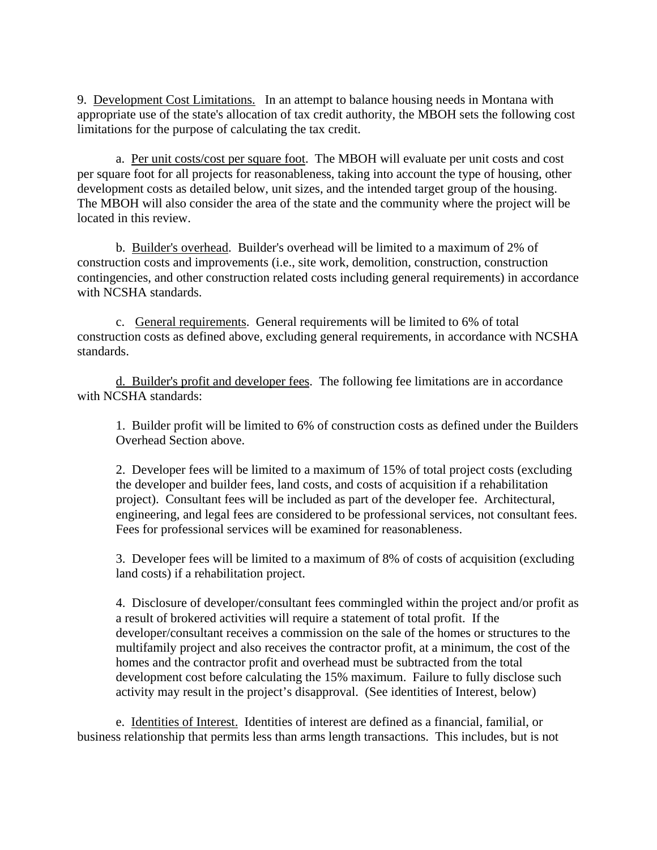9. Development Cost Limitations. In an attempt to balance housing needs in Montana with appropriate use of the state's allocation of tax credit authority, the MBOH sets the following cost limitations for the purpose of calculating the tax credit.

 a. Per unit costs/cost per square foot. The MBOH will evaluate per unit costs and cost per square foot for all projects for reasonableness, taking into account the type of housing, other development costs as detailed below, unit sizes, and the intended target group of the housing. The MBOH will also consider the area of the state and the community where the project will be located in this review.

 b. Builder's overhead. Builder's overhead will be limited to a maximum of 2% of construction costs and improvements (i.e., site work, demolition, construction, construction contingencies, and other construction related costs including general requirements) in accordance with NCSHA standards.

c. General requirements. General requirements will be limited to 6% of total construction costs as defined above, excluding general requirements, in accordance with NCSHA standards.

d. Builder's profit and developer fees. The following fee limitations are in accordance with NCSHA standards:

1. Builder profit will be limited to 6% of construction costs as defined under the Builders Overhead Section above.

2. Developer fees will be limited to a maximum of 15% of total project costs (excluding the developer and builder fees, land costs, and costs of acquisition if a rehabilitation project). Consultant fees will be included as part of the developer fee. Architectural, engineering, and legal fees are considered to be professional services, not consultant fees. Fees for professional services will be examined for reasonableness.

3. Developer fees will be limited to a maximum of 8% of costs of acquisition (excluding land costs) if a rehabilitation project.

4. Disclosure of developer/consultant fees commingled within the project and/or profit as a result of brokered activities will require a statement of total profit. If the developer/consultant receives a commission on the sale of the homes or structures to the multifamily project and also receives the contractor profit, at a minimum, the cost of the homes and the contractor profit and overhead must be subtracted from the total development cost before calculating the 15% maximum. Failure to fully disclose such activity may result in the project's disapproval. (See identities of Interest, below)

 e. Identities of Interest. Identities of interest are defined as a financial, familial, or business relationship that permits less than arms length transactions. This includes, but is not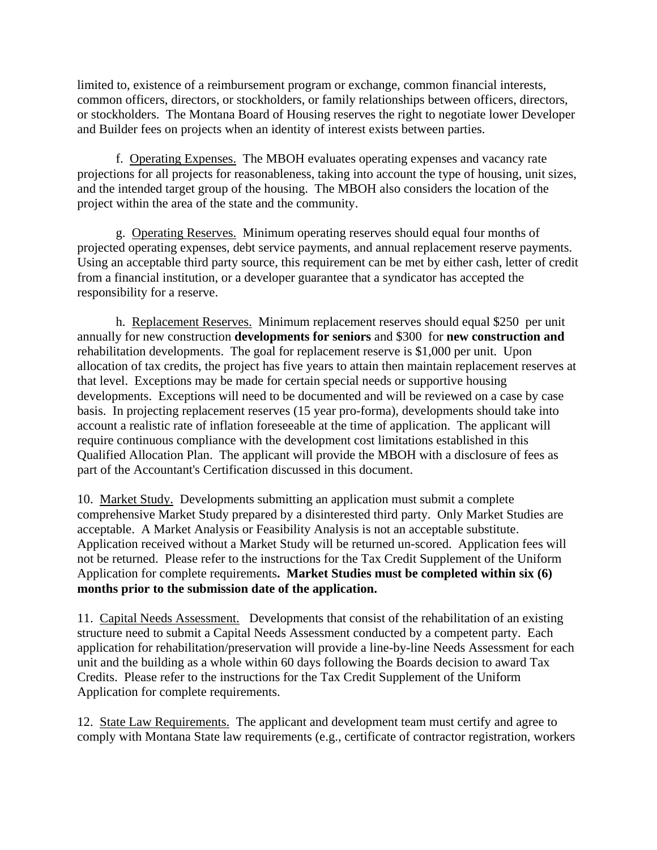limited to, existence of a reimbursement program or exchange, common financial interests, common officers, directors, or stockholders, or family relationships between officers, directors, or stockholders. The Montana Board of Housing reserves the right to negotiate lower Developer and Builder fees on projects when an identity of interest exists between parties.

 f. Operating Expenses. The MBOH evaluates operating expenses and vacancy rate projections for all projects for reasonableness, taking into account the type of housing, unit sizes, and the intended target group of the housing. The MBOH also considers the location of the project within the area of the state and the community.

 g. Operating Reserves. Minimum operating reserves should equal four months of projected operating expenses, debt service payments, and annual replacement reserve payments. Using an acceptable third party source, this requirement can be met by either cash, letter of credit from a financial institution, or a developer guarantee that a syndicator has accepted the responsibility for a reserve.

 h. Replacement Reserves. Minimum replacement reserves should equal \$250 per unit annually for new construction **developments for seniors** and \$300 for **new construction and**  rehabilitation developments. The goal for replacement reserve is \$1,000 per unit. Upon allocation of tax credits, the project has five years to attain then maintain replacement reserves at that level.Exceptions may be made for certain special needs or supportive housing developments. Exceptions will need to be documented and will be reviewed on a case by case basis. In projecting replacement reserves (15 year pro-forma), developments should take into account a realistic rate of inflation foreseeable at the time of application. The applicant will require continuous compliance with the development cost limitations established in this Qualified Allocation Plan. The applicant will provide the MBOH with a disclosure of fees as part of the Accountant's Certification discussed in this document.

10. Market Study. Developments submitting an application must submit a complete comprehensive Market Study prepared by a disinterested third party. Only Market Studies are acceptable. A Market Analysis or Feasibility Analysis is not an acceptable substitute. Application received without a Market Study will be returned un-scored. Application fees will not be returned. Please refer to the instructions for the Tax Credit Supplement of the Uniform Application for complete requirements**. Market Studies must be completed within six (6) months prior to the submission date of the application.**

11. Capital Needs Assessment. Developments that consist of the rehabilitation of an existing structure need to submit a Capital Needs Assessment conducted by a competent party. Each application for rehabilitation/preservation will provide a line-by-line Needs Assessment for each unit and the building as a whole within 60 days following the Boards decision to award Tax Credits.Please refer to the instructions for the Tax Credit Supplement of the Uniform Application for complete requirements.

12. State Law Requirements. The applicant and development team must certify and agree to comply with Montana State law requirements (e.g., certificate of contractor registration, workers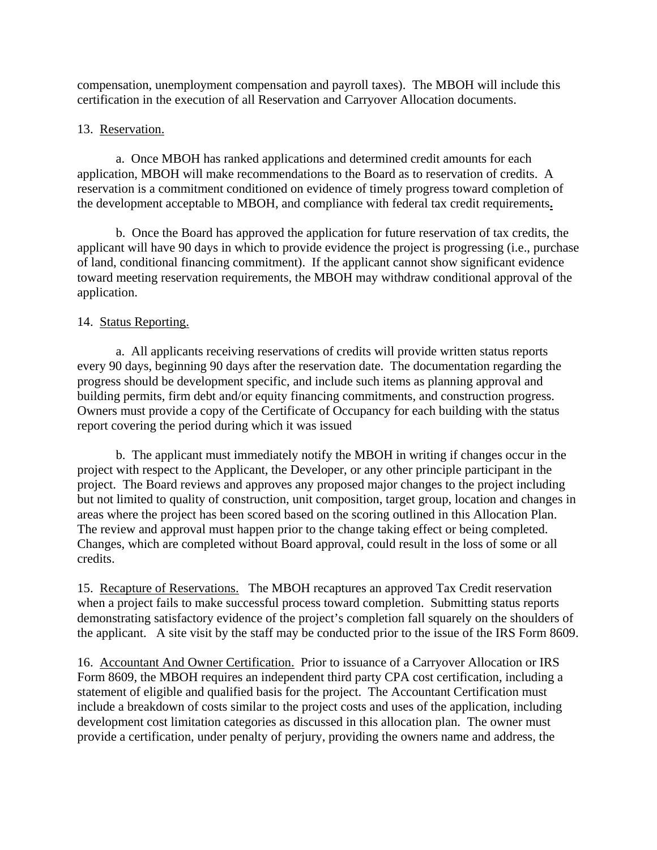compensation, unemployment compensation and payroll taxes). The MBOH will include this certification in the execution of all Reservation and Carryover Allocation documents.

# 13. Reservation.

 a. Once MBOH has ranked applications and determined credit amounts for each application, MBOH will make recommendations to the Board as to reservation of credits. A reservation is a commitment conditioned on evidence of timely progress toward completion of the development acceptable to MBOH, and compliance with federal tax credit requirements**.**

b. Once the Board has approved the application for future reservation of tax credits, the applicant will have 90 days in which to provide evidence the project is progressing (i.e., purchase of land, conditional financing commitment). If the applicant cannot show significant evidence toward meeting reservation requirements, the MBOH may withdraw conditional approval of the application.

# 14. Status Reporting.

a. All applicants receiving reservations of credits will provide written status reports every 90 days, beginning 90 days after the reservation date. The documentation regarding the progress should be development specific, and include such items as planning approval and building permits, firm debt and/or equity financing commitments, and construction progress. Owners must provide a copy of the Certificate of Occupancy for each building with the status report covering the period during which it was issued

b. The applicant must immediately notify the MBOH in writing if changes occur in the project with respect to the Applicant, the Developer, or any other principle participant in the project. The Board reviews and approves any proposed major changes to the project including but not limited to quality of construction, unit composition, target group, location and changes in areas where the project has been scored based on the scoring outlined in this Allocation Plan. The review and approval must happen prior to the change taking effect or being completed. Changes, which are completed without Board approval, could result in the loss of some or all credits.

15. Recapture of Reservations. The MBOH recaptures an approved Tax Credit reservation when a project fails to make successful process toward completion. Submitting status reports demonstrating satisfactory evidence of the project's completion fall squarely on the shoulders of the applicant. A site visit by the staff may be conducted prior to the issue of the IRS Form 8609.

16. Accountant And Owner Certification. Prior to issuance of a Carryover Allocation or IRS Form 8609, the MBOH requires an independent third party CPA cost certification, including a statement of eligible and qualified basis for the project. The Accountant Certification must include a breakdown of costs similar to the project costs and uses of the application, including development cost limitation categories as discussed in this allocation plan. The owner must provide a certification, under penalty of perjury, providing the owners name and address, the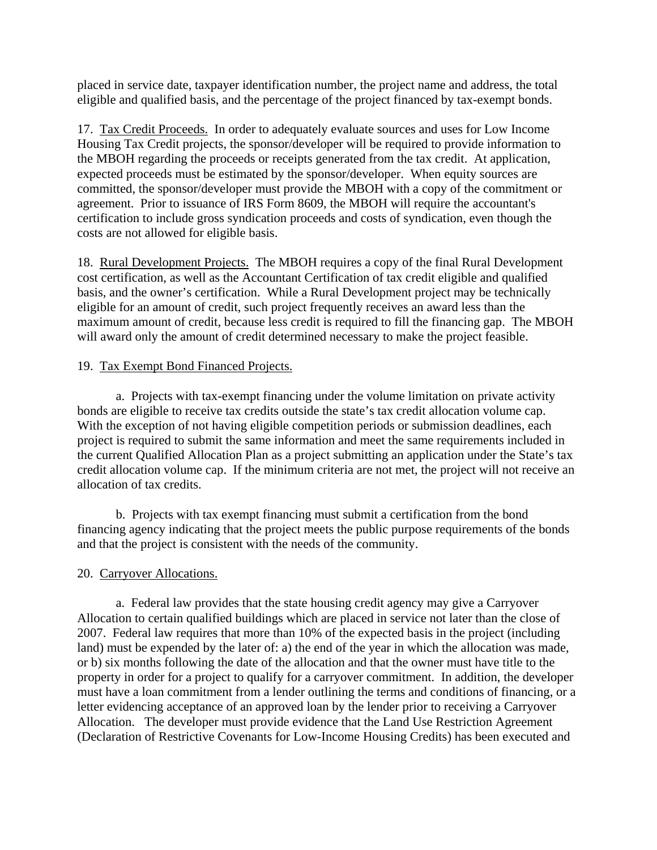placed in service date, taxpayer identification number, the project name and address, the total eligible and qualified basis, and the percentage of the project financed by tax-exempt bonds.

17. Tax Credit Proceeds. In order to adequately evaluate sources and uses for Low Income Housing Tax Credit projects, the sponsor/developer will be required to provide information to the MBOH regarding the proceeds or receipts generated from the tax credit. At application, expected proceeds must be estimated by the sponsor/developer. When equity sources are committed, the sponsor/developer must provide the MBOH with a copy of the commitment or agreement. Prior to issuance of IRS Form 8609, the MBOH will require the accountant's certification to include gross syndication proceeds and costs of syndication, even though the costs are not allowed for eligible basis.

18. Rural Development Projects. The MBOH requires a copy of the final Rural Development cost certification, as well as the Accountant Certification of tax credit eligible and qualified basis, and the owner's certification. While a Rural Development project may be technically eligible for an amount of credit, such project frequently receives an award less than the maximum amount of credit, because less credit is required to fill the financing gap. The MBOH will award only the amount of credit determined necessary to make the project feasible.

# 19. Tax Exempt Bond Financed Projects.

a. Projects with tax-exempt financing under the volume limitation on private activity bonds are eligible to receive tax credits outside the state's tax credit allocation volume cap. With the exception of not having eligible competition periods or submission deadlines, each project is required to submit the same information and meet the same requirements included in the current Qualified Allocation Plan as a project submitting an application under the State's tax credit allocation volume cap. If the minimum criteria are not met, the project will not receive an allocation of tax credits.

b. Projects with tax exempt financing must submit a certification from the bond financing agency indicating that the project meets the public purpose requirements of the bonds and that the project is consistent with the needs of the community.

# 20. Carryover Allocations.

a. Federal law provides that the state housing credit agency may give a Carryover Allocation to certain qualified buildings which are placed in service not later than the close of 2007. Federal law requires that more than 10% of the expected basis in the project (including land) must be expended by the later of: a) the end of the year in which the allocation was made, or b) six months following the date of the allocation and that the owner must have title to the property in order for a project to qualify for a carryover commitment. In addition, the developer must have a loan commitment from a lender outlining the terms and conditions of financing, or a letter evidencing acceptance of an approved loan by the lender prior to receiving a Carryover Allocation. The developer must provide evidence that the Land Use Restriction Agreement (Declaration of Restrictive Covenants for Low-Income Housing Credits) has been executed and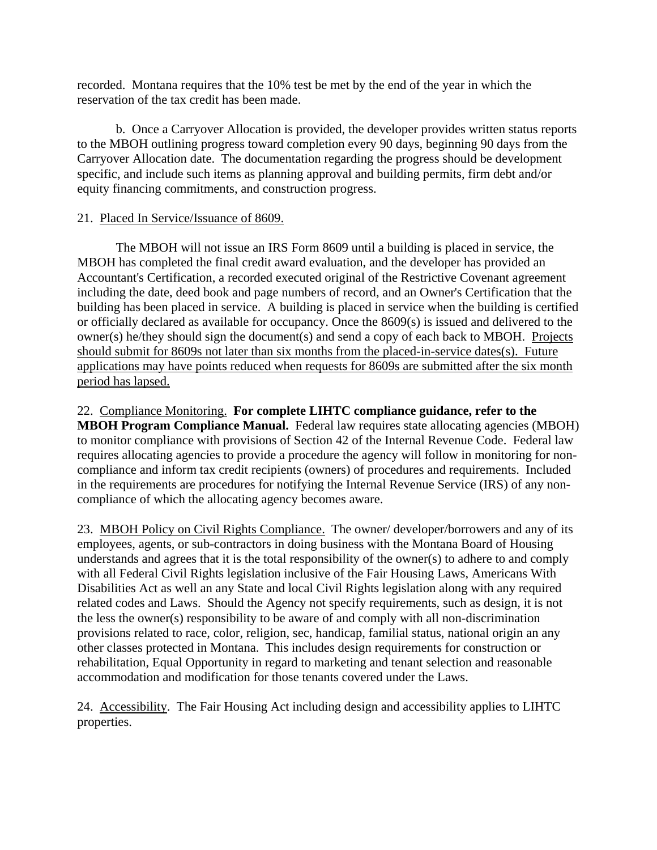recorded. Montana requires that the 10% test be met by the end of the year in which the reservation of the tax credit has been made.

b. Once a Carryover Allocation is provided, the developer provides written status reports to the MBOH outlining progress toward completion every 90 days, beginning 90 days from the Carryover Allocation date. The documentation regarding the progress should be development specific, and include such items as planning approval and building permits, firm debt and/or equity financing commitments, and construction progress.

# 21. Placed In Service/Issuance of 8609.

The MBOH will not issue an IRS Form 8609 until a building is placed in service, the MBOH has completed the final credit award evaluation, and the developer has provided an Accountant's Certification, a recorded executed original of the Restrictive Covenant agreement including the date, deed book and page numbers of record, and an Owner's Certification that the building has been placed in service. A building is placed in service when the building is certified or officially declared as available for occupancy. Once the 8609(s) is issued and delivered to the owner(s) he/they should sign the document(s) and send a copy of each back to MBOH. Projects should submit for 8609s not later than six months from the placed-in-service dates(s). Future applications may have points reduced when requests for 8609s are submitted after the six month period has lapsed.

### 22. Compliance Monitoring. **For complete LIHTC compliance guidance, refer to the**

**MBOH Program Compliance Manual.** Federal law requires state allocating agencies (MBOH) to monitor compliance with provisions of Section 42 of the Internal Revenue Code. Federal law requires allocating agencies to provide a procedure the agency will follow in monitoring for noncompliance and inform tax credit recipients (owners) of procedures and requirements. Included in the requirements are procedures for notifying the Internal Revenue Service (IRS) of any noncompliance of which the allocating agency becomes aware.

23. MBOH Policy on Civil Rights Compliance. The owner/ developer/borrowers and any of its employees, agents, or sub-contractors in doing business with the Montana Board of Housing understands and agrees that it is the total responsibility of the owner(s) to adhere to and comply with all Federal Civil Rights legislation inclusive of the Fair Housing Laws, Americans With Disabilities Act as well an any State and local Civil Rights legislation along with any required related codes and Laws. Should the Agency not specify requirements, such as design, it is not the less the owner(s) responsibility to be aware of and comply with all non-discrimination provisions related to race, color, religion, sec, handicap, familial status, national origin an any other classes protected in Montana. This includes design requirements for construction or rehabilitation, Equal Opportunity in regard to marketing and tenant selection and reasonable accommodation and modification for those tenants covered under the Laws.

24. Accessibility. The Fair Housing Act including design and accessibility applies to LIHTC properties.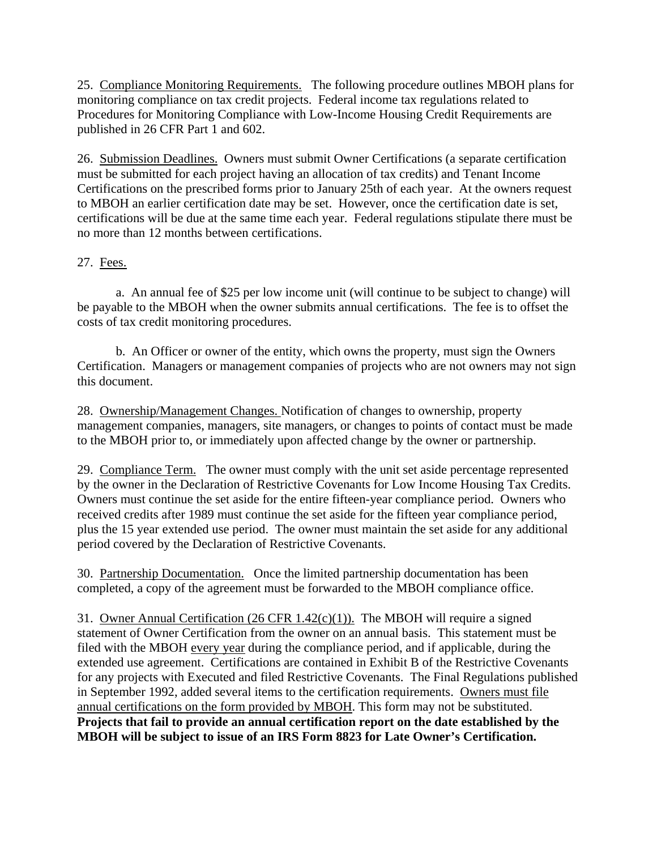25. Compliance Monitoring Requirements. The following procedure outlines MBOH plans for monitoring compliance on tax credit projects. Federal income tax regulations related to Procedures for Monitoring Compliance with Low-Income Housing Credit Requirements are published in 26 CFR Part 1 and 602.

26. Submission Deadlines. Owners must submit Owner Certifications (a separate certification must be submitted for each project having an allocation of tax credits) and Tenant Income Certifications on the prescribed forms prior to January 25th of each year. At the owners request to MBOH an earlier certification date may be set. However, once the certification date is set, certifications will be due at the same time each year. Federal regulations stipulate there must be no more than 12 months between certifications.

# 27. Fees.

a. An annual fee of \$25 per low income unit (will continue to be subject to change) will be payable to the MBOH when the owner submits annual certifications. The fee is to offset the costs of tax credit monitoring procedures.

b. An Officer or owner of the entity, which owns the property, must sign the Owners Certification. Managers or management companies of projects who are not owners may not sign this document.

28. Ownership/Management Changes. Notification of changes to ownership, property management companies, managers, site managers, or changes to points of contact must be made to the MBOH prior to, or immediately upon affected change by the owner or partnership.

29. Compliance Term.The owner must comply with the unit set aside percentage represented by the owner in the Declaration of Restrictive Covenants for Low Income Housing Tax Credits. Owners must continue the set aside for the entire fifteen-year compliance period. Owners who received credits after 1989 must continue the set aside for the fifteen year compliance period, plus the 15 year extended use period. The owner must maintain the set aside for any additional period covered by the Declaration of Restrictive Covenants.

30.Partnership Documentation. Once the limited partnership documentation has been completed, a copy of the agreement must be forwarded to the MBOH compliance office.

31. Owner Annual Certification (26 CFR 1.42(c)(1)). The MBOH will require a signed statement of Owner Certification from the owner on an annual basis. This statement must be filed with the MBOH every year during the compliance period, and if applicable, during the extended use agreement. Certifications are contained in Exhibit B of the Restrictive Covenants for any projects with Executed and filed Restrictive Covenants. The Final Regulations published in September 1992, added several items to the certification requirements. Owners must file annual certifications on the form provided by MBOH. This form may not be substituted. **Projects that fail to provide an annual certification report on the date established by the MBOH will be subject to issue of an IRS Form 8823 for Late Owner's Certification.**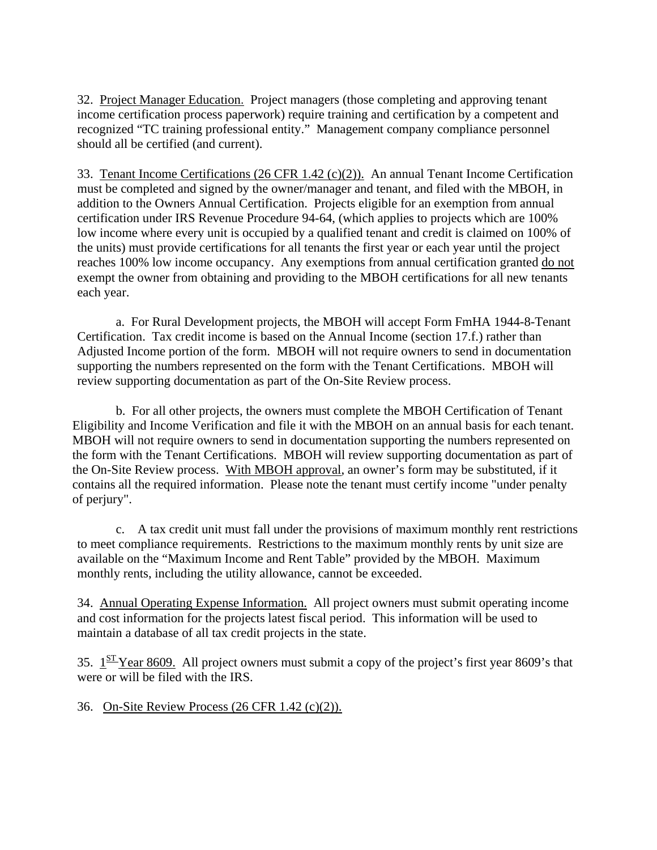32. Project Manager Education. Project managers (those completing and approving tenant income certification process paperwork) require training and certification by a competent and recognized "TC training professional entity." Management company compliance personnel should all be certified (and current).

33. Tenant Income Certifications (26 CFR 1.42 (c)(2)).An annual Tenant Income Certification must be completed and signed by the owner/manager and tenant, and filed with the MBOH, in addition to the Owners Annual Certification. Projects eligible for an exemption from annual certification under IRS Revenue Procedure 94-64, (which applies to projects which are 100% low income where every unit is occupied by a qualified tenant and credit is claimed on 100% of the units) must provide certifications for all tenants the first year or each year until the project reaches 100% low income occupancy. Any exemptions from annual certification granted do not exempt the owner from obtaining and providing to the MBOH certifications for all new tenants each year.

a. For Rural Development projects, the MBOH will accept Form FmHA 1944-8-Tenant Certification. Tax credit income is based on the Annual Income (section 17.f.) rather than Adjusted Income portion of the form. MBOH will not require owners to send in documentation supporting the numbers represented on the form with the Tenant Certifications. MBOH will review supporting documentation as part of the On-Site Review process.

b. For all other projects, the owners must complete the MBOH Certification of Tenant Eligibility and Income Verification and file it with the MBOH on an annual basis for each tenant. MBOH will not require owners to send in documentation supporting the numbers represented on the form with the Tenant Certifications. MBOH will review supporting documentation as part of the On-Site Review process. With MBOH approval, an owner's form may be substituted, if it contains all the required information. Please note the tenant must certify income "under penalty of perjury".

 c. A tax credit unit must fall under the provisions of maximum monthly rent restrictions to meet compliance requirements. Restrictions to the maximum monthly rents by unit size are available on the "Maximum Income and Rent Table" provided by the MBOH. Maximum monthly rents, including the utility allowance, cannot be exceeded.

34. Annual Operating Expense Information. All project owners must submit operating income and cost information for the projects latest fiscal period. This information will be used to maintain a database of all tax credit projects in the state.

35.  $1<sup>ST</sup>$  Year 8609. All project owners must submit a copy of the project's first year 8609's that were or will be filed with the IRS.

36. On-Site Review Process (26 CFR 1.42 (c)(2)).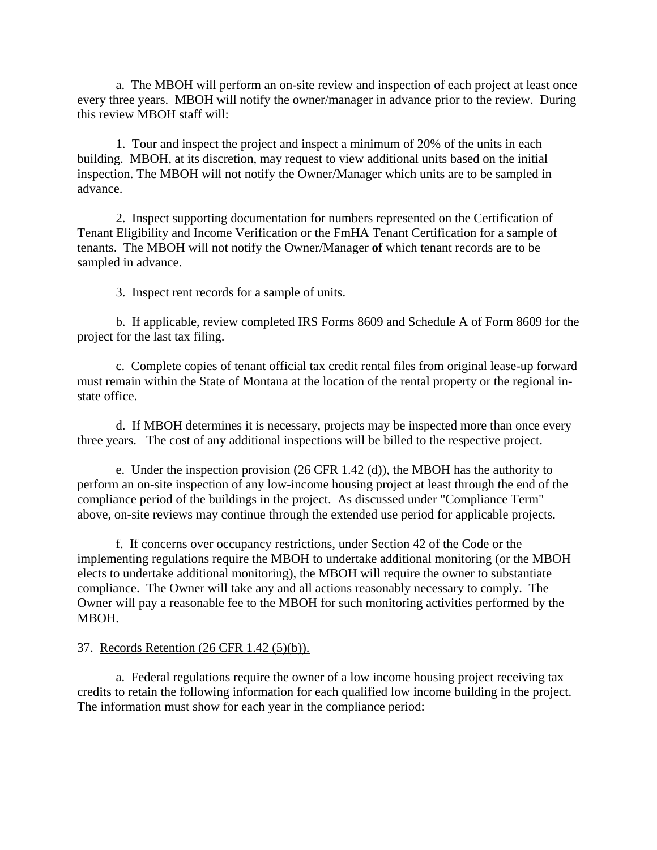a. The MBOH will perform an on-site review and inspection of each project at least once every three years. MBOH will notify the owner/manager in advance prior to the review. During this review MBOH staff will:

1. Tour and inspect the project and inspect a minimum of 20% of the units in each building. MBOH, at its discretion, may request to view additional units based on the initial inspection. The MBOH will not notify the Owner/Manager which units are to be sampled in advance.

2. Inspect supporting documentation for numbers represented on the Certification of Tenant Eligibility and Income Verification or the FmHA Tenant Certification for a sample of tenants. The MBOH will not notify the Owner/Manager **of** which tenant records are to be sampled in advance.

3. Inspect rent records for a sample of units.

b. If applicable, review completed IRS Forms 8609 and Schedule A of Form 8609 for the project for the last tax filing.

 c. Complete copies of tenant official tax credit rental files from original lease-up forward must remain within the State of Montana at the location of the rental property or the regional instate office.

d. If MBOH determines it is necessary, projects may be inspected more than once every three years. The cost of any additional inspections will be billed to the respective project.

e. Under the inspection provision (26 CFR 1.42 (d)), the MBOH has the authority to perform an on-site inspection of any low-income housing project at least through the end of the compliance period of the buildings in the project. As discussed under "Compliance Term" above, on-site reviews may continue through the extended use period for applicable projects.

f. If concerns over occupancy restrictions, under Section 42 of the Code or the implementing regulations require the MBOH to undertake additional monitoring (or the MBOH elects to undertake additional monitoring), the MBOH will require the owner to substantiate compliance. The Owner will take any and all actions reasonably necessary to comply. The Owner will pay a reasonable fee to the MBOH for such monitoring activities performed by the MBOH.

#### 37. Records Retention (26 CFR 1.42 (5)(b)).

a. Federal regulations require the owner of a low income housing project receiving tax credits to retain the following information for each qualified low income building in the project. The information must show for each year in the compliance period: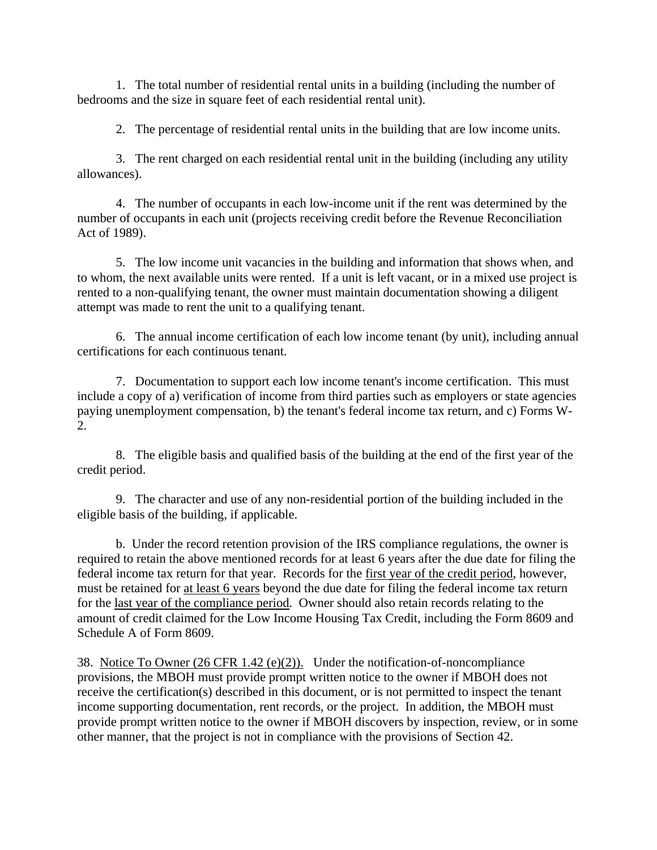1. The total number of residential rental units in a building (including the number of bedrooms and the size in square feet of each residential rental unit).

2. The percentage of residential rental units in the building that are low income units.

3. The rent charged on each residential rental unit in the building (including any utility allowances).

4. The number of occupants in each low-income unit if the rent was determined by the number of occupants in each unit (projects receiving credit before the Revenue Reconciliation Act of 1989).

5. The low income unit vacancies in the building and information that shows when, and to whom, the next available units were rented. If a unit is left vacant, or in a mixed use project is rented to a non-qualifying tenant, the owner must maintain documentation showing a diligent attempt was made to rent the unit to a qualifying tenant.

6. The annual income certification of each low income tenant (by unit), including annual certifications for each continuous tenant.

7. Documentation to support each low income tenant's income certification. This must include a copy of a) verification of income from third parties such as employers or state agencies paying unemployment compensation, b) the tenant's federal income tax return, and c) Forms W-2.

8. The eligible basis and qualified basis of the building at the end of the first year of the credit period.

9. The character and use of any non-residential portion of the building included in the eligible basis of the building, if applicable.

b. Under the record retention provision of the IRS compliance regulations, the owner is required to retain the above mentioned records for at least 6 years after the due date for filing the federal income tax return for that year. Records for the first year of the credit period, however, must be retained for at least 6 years beyond the due date for filing the federal income tax return for the last year of the compliance period. Owner should also retain records relating to the amount of credit claimed for the Low Income Housing Tax Credit, including the Form 8609 and Schedule A of Form 8609.

38. Notice To Owner (26 CFR 1.42 (e)(2)). Under the notification-of-noncompliance provisions, the MBOH must provide prompt written notice to the owner if MBOH does not receive the certification(s) described in this document, or is not permitted to inspect the tenant income supporting documentation, rent records, or the project. In addition, the MBOH must provide prompt written notice to the owner if MBOH discovers by inspection, review, or in some other manner, that the project is not in compliance with the provisions of Section 42.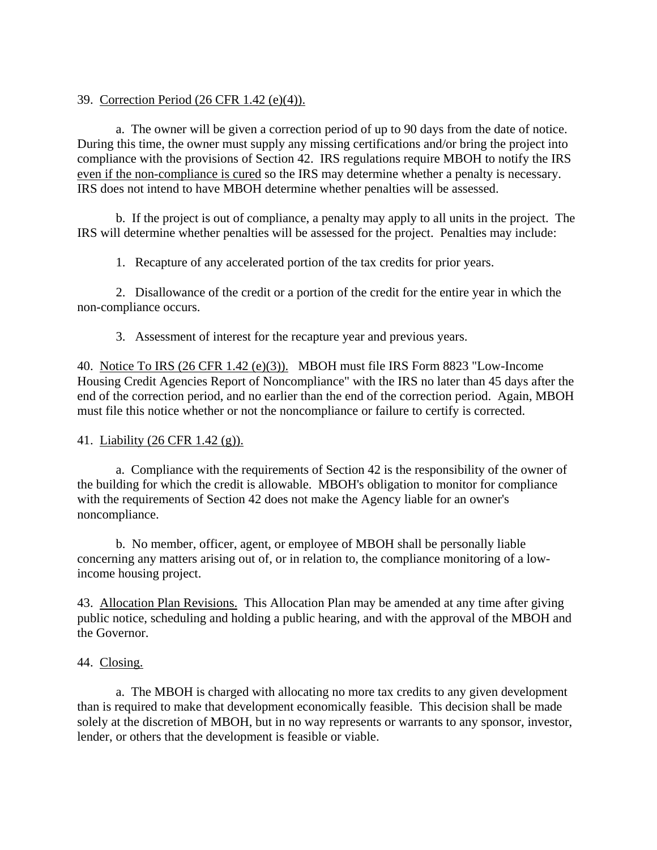# 39. Correction Period (26 CFR 1.42 (e)(4)).

a. The owner will be given a correction period of up to 90 days from the date of notice. During this time, the owner must supply any missing certifications and/or bring the project into compliance with the provisions of Section 42. IRS regulations require MBOH to notify the IRS even if the non-compliance is cured so the IRS may determine whether a penalty is necessary. IRS does not intend to have MBOH determine whether penalties will be assessed.

b. If the project is out of compliance, a penalty may apply to all units in the project. The IRS will determine whether penalties will be assessed for the project. Penalties may include:

1. Recapture of any accelerated portion of the tax credits for prior years.

2. Disallowance of the credit or a portion of the credit for the entire year in which the non-compliance occurs.

3. Assessment of interest for the recapture year and previous years.

40. Notice To IRS (26 CFR 1.42 (e)(3)). MBOH must file IRS Form 8823 "Low-Income Housing Credit Agencies Report of Noncompliance" with the IRS no later than 45 days after the end of the correction period, and no earlier than the end of the correction period. Again, MBOH must file this notice whether or not the noncompliance or failure to certify is corrected.

# 41. Liability (26 CFR 1.42 (g)).

a. Compliance with the requirements of Section 42 is the responsibility of the owner of the building for which the credit is allowable. MBOH's obligation to monitor for compliance with the requirements of Section 42 does not make the Agency liable for an owner's noncompliance.

b. No member, officer, agent, or employee of MBOH shall be personally liable concerning any matters arising out of, or in relation to, the compliance monitoring of a lowincome housing project.

43. Allocation Plan Revisions.This Allocation Plan may be amended at any time after giving public notice, scheduling and holding a public hearing, and with the approval of the MBOH and the Governor.

# 44. Closing.

a. The MBOH is charged with allocating no more tax credits to any given development than is required to make that development economically feasible. This decision shall be made solely at the discretion of MBOH, but in no way represents or warrants to any sponsor, investor, lender, or others that the development is feasible or viable.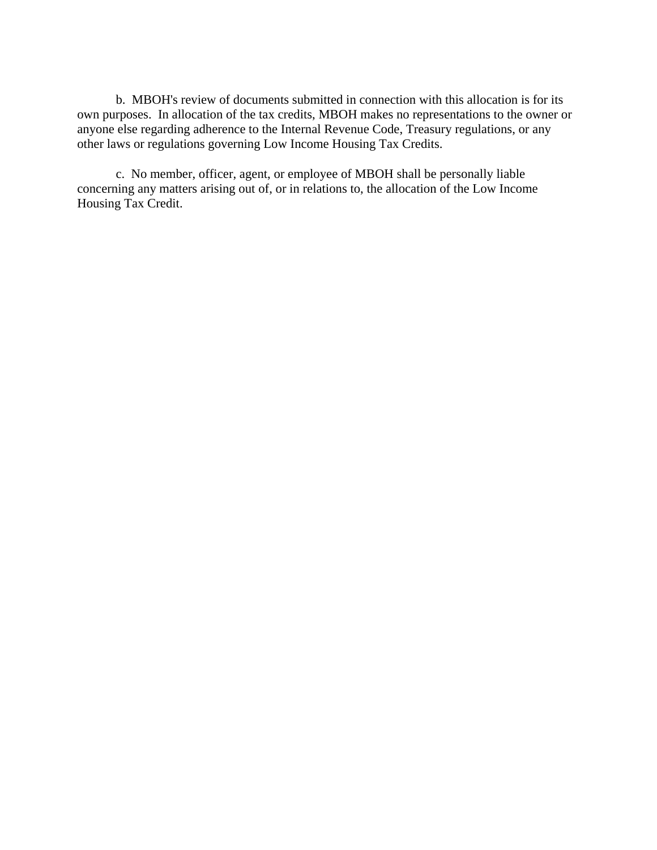b. MBOH's review of documents submitted in connection with this allocation is for its own purposes. In allocation of the tax credits, MBOH makes no representations to the owner or anyone else regarding adherence to the Internal Revenue Code, Treasury regulations, or any other laws or regulations governing Low Income Housing Tax Credits.

c. No member, officer, agent, or employee of MBOH shall be personally liable concerning any matters arising out of, or in relations to, the allocation of the Low Income Housing Tax Credit.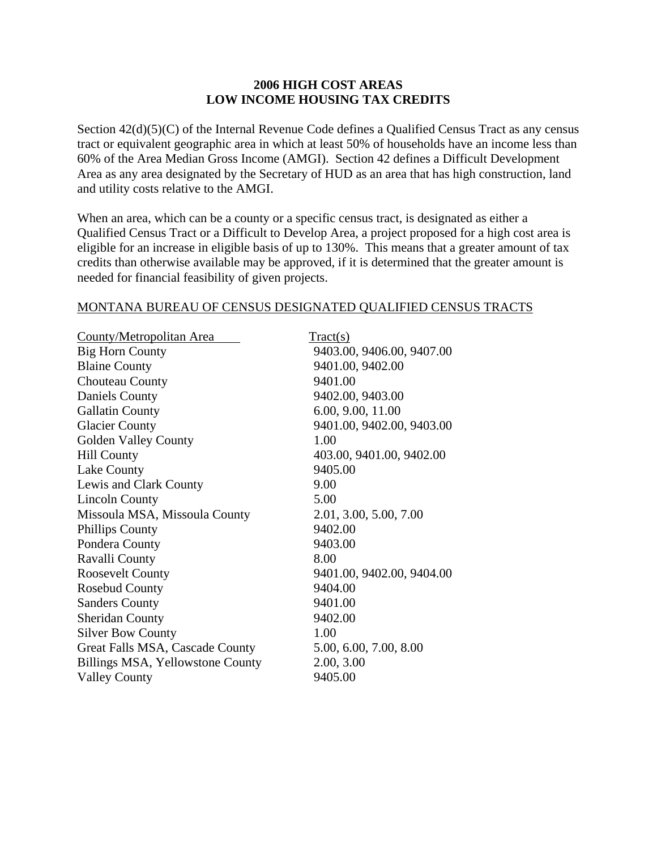### **2006 HIGH COST AREAS LOW INCOME HOUSING TAX CREDITS**

Section  $42(d)(5)(C)$  of the Internal Revenue Code defines a Qualified Census Tract as any census tract or equivalent geographic area in which at least 50% of households have an income less than 60% of the Area Median Gross Income (AMGI). Section 42 defines a Difficult Development Area as any area designated by the Secretary of HUD as an area that has high construction, land and utility costs relative to the AMGI.

When an area, which can be a county or a specific census tract, is designated as either a Qualified Census Tract or a Difficult to Develop Area, a project proposed for a high cost area is eligible for an increase in eligible basis of up to 130%. This means that a greater amount of tax credits than otherwise available may be approved, if it is determined that the greater amount is needed for financial feasibility of given projects.

### MONTANA BUREAU OF CENSUS DESIGNATED QUALIFIED CENSUS TRACTS

| County/Metropolitan Area         | T <sub>react(s)</sub>     |
|----------------------------------|---------------------------|
| <b>Big Horn County</b>           | 9403.00, 9406.00, 9407.00 |
| <b>Blaine County</b>             | 9401.00, 9402.00          |
| Chouteau County                  | 9401.00                   |
| <b>Daniels County</b>            | 9402.00, 9403.00          |
| <b>Gallatin County</b>           | 6.00, 9.00, 11.00         |
| <b>Glacier County</b>            | 9401.00, 9402.00, 9403.00 |
| <b>Golden Valley County</b>      | 1.00                      |
| <b>Hill County</b>               | 403.00, 9401.00, 9402.00  |
| Lake County                      | 9405.00                   |
| Lewis and Clark County           | 9.00                      |
| <b>Lincoln County</b>            | 5.00                      |
| Missoula MSA, Missoula County    | 2.01, 3.00, 5.00, 7.00    |
| <b>Phillips County</b>           | 9402.00                   |
| Pondera County                   | 9403.00                   |
| Ravalli County                   | 8.00                      |
| <b>Roosevelt County</b>          | 9401.00, 9402.00, 9404.00 |
| <b>Rosebud County</b>            | 9404.00                   |
| <b>Sanders County</b>            | 9401.00                   |
| <b>Sheridan County</b>           | 9402.00                   |
| <b>Silver Bow County</b>         | 1.00                      |
| Great Falls MSA, Cascade County  | 5.00, 6.00, 7.00, 8.00    |
| Billings MSA, Yellowstone County | 2.00, 3.00                |
| <b>Valley County</b>             | 9405.00                   |